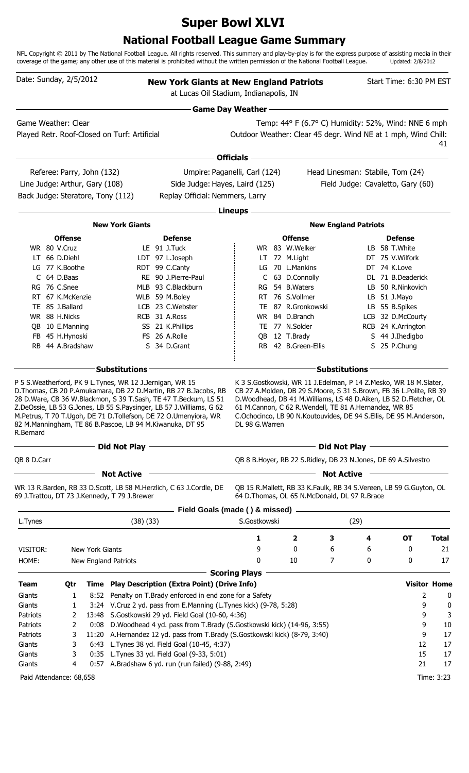# **Super Bowl XLVI**

### **National Football League Game Summary**

NFL Copyright © 2011 by The National Football League. All rights reserved. This summary and play-by-play is for the express purpose of assisting media in their coverage of the game; any other use of this material is prohibited without the written permission of the National Football League. Updated: 2/8/2012

| Date: Sunday, 2/5/2012            |                            |                 |                                              |                                                                                                                                                                                                                                                                                                                                              | <b>New York Giants at New England Patriots</b><br>at Lucas Oil Stadium, Indianapolis, IN |  |                                                       |                      |                             |                                                                                                                                                                                                                   |                     |  |  |  |  |
|-----------------------------------|----------------------------|-----------------|----------------------------------------------|----------------------------------------------------------------------------------------------------------------------------------------------------------------------------------------------------------------------------------------------------------------------------------------------------------------------------------------------|------------------------------------------------------------------------------------------|--|-------------------------------------------------------|----------------------|-----------------------------|-------------------------------------------------------------------------------------------------------------------------------------------------------------------------------------------------------------------|---------------------|--|--|--|--|
|                                   |                            |                 |                                              |                                                                                                                                                                                                                                                                                                                                              | <b>Game Day Weather-</b>                                                                 |  |                                                       |                      |                             |                                                                                                                                                                                                                   |                     |  |  |  |  |
| Game Weather: Clear               |                            |                 |                                              |                                                                                                                                                                                                                                                                                                                                              |                                                                                          |  |                                                       |                      |                             | Temp: 44° F (6.7° C) Humidity: 52%, Wind: NNE 6 mph                                                                                                                                                               |                     |  |  |  |  |
|                                   |                            |                 | Played Retr. Roof-Closed on Turf: Artificial |                                                                                                                                                                                                                                                                                                                                              | Outdoor Weather: Clear 45 degr. Wind NE at 1 mph, Wind Chill:                            |  |                                                       |                      |                             |                                                                                                                                                                                                                   | 41                  |  |  |  |  |
|                                   |                            |                 |                                              |                                                                                                                                                                                                                                                                                                                                              | <b>Officials</b>                                                                         |  |                                                       |                      |                             |                                                                                                                                                                                                                   |                     |  |  |  |  |
|                                   | Referee: Parry, John (132) |                 |                                              |                                                                                                                                                                                                                                                                                                                                              | Umpire: Paganelli, Carl (124)                                                            |  |                                                       |                      |                             | Head Linesman: Stabile, Tom (24)                                                                                                                                                                                  |                     |  |  |  |  |
| Line Judge: Arthur, Gary (108)    |                            |                 |                                              | Side Judge: Hayes, Laird (125)                                                                                                                                                                                                                                                                                                               |                                                                                          |  |                                                       |                      |                             | Field Judge: Cavaletto, Gary (60)                                                                                                                                                                                 |                     |  |  |  |  |
| Back Judge: Steratore, Tony (112) |                            |                 |                                              | Replay Official: Nemmers, Larry                                                                                                                                                                                                                                                                                                              |                                                                                          |  |                                                       |                      |                             |                                                                                                                                                                                                                   |                     |  |  |  |  |
|                                   |                            |                 |                                              |                                                                                                                                                                                                                                                                                                                                              | Lineups -                                                                                |  |                                                       |                      |                             |                                                                                                                                                                                                                   |                     |  |  |  |  |
|                                   |                            |                 | <b>New York Giants</b>                       |                                                                                                                                                                                                                                                                                                                                              |                                                                                          |  |                                                       |                      | <b>New England Patriots</b> |                                                                                                                                                                                                                   |                     |  |  |  |  |
|                                   | <b>Offense</b>             |                 |                                              | <b>Defense</b>                                                                                                                                                                                                                                                                                                                               |                                                                                          |  | <b>Offense</b>                                        |                      |                             | <b>Defense</b>                                                                                                                                                                                                    |                     |  |  |  |  |
|                                   | WR 80 V.Cruz               |                 |                                              | LE 91 J.Tuck                                                                                                                                                                                                                                                                                                                                 |                                                                                          |  | WR 83 W.Welker                                        |                      |                             | LB 58 T.White                                                                                                                                                                                                     |                     |  |  |  |  |
|                                   | LT 66 D.Diehl              |                 |                                              | LDT 97 L.Joseph                                                                                                                                                                                                                                                                                                                              |                                                                                          |  | LT 72 M.Light                                         |                      |                             | DT 75 V. Wilfork                                                                                                                                                                                                  |                     |  |  |  |  |
|                                   | LG 77 K.Boothe             |                 |                                              | RDT 99 C.Canty                                                                                                                                                                                                                                                                                                                               |                                                                                          |  | LG 70 L.Mankins                                       |                      |                             | DT 74 K.Love                                                                                                                                                                                                      |                     |  |  |  |  |
|                                   | C 64 D.Baas                |                 |                                              | RE 90 J.Pierre-Paul                                                                                                                                                                                                                                                                                                                          |                                                                                          |  | C 63 D.Connolly                                       |                      |                             | DL 71 B.Deaderick                                                                                                                                                                                                 |                     |  |  |  |  |
|                                   | RG 76 C.Snee               |                 |                                              | MLB 93 C.Blackburn                                                                                                                                                                                                                                                                                                                           |                                                                                          |  | RG 54 B.Waters                                        |                      |                             | LB 50 R.Ninkovich                                                                                                                                                                                                 |                     |  |  |  |  |
|                                   | RT 67 K.McKenzie           |                 |                                              | WLB 59 M.Boley                                                                                                                                                                                                                                                                                                                               | <b>RT</b>                                                                                |  | 76 S.Vollmer                                          |                      |                             | LB 51 J.Mayo                                                                                                                                                                                                      |                     |  |  |  |  |
|                                   | TE 85 J.Ballard            |                 |                                              | LCB 23 C.Webster                                                                                                                                                                                                                                                                                                                             |                                                                                          |  | TE 87 R.Gronkowski                                    |                      |                             | LB 55 B.Spikes                                                                                                                                                                                                    |                     |  |  |  |  |
|                                   | WR 88 H.Nicks              |                 |                                              | RCB 31 A.Ross                                                                                                                                                                                                                                                                                                                                |                                                                                          |  | WR 84 D.Branch                                        |                      |                             | LCB 32 D.McCourty                                                                                                                                                                                                 |                     |  |  |  |  |
|                                   | QB 10 E.Manning            |                 |                                              | SS 21 K.Phillips                                                                                                                                                                                                                                                                                                                             |                                                                                          |  | TE 77 N.Solder                                        |                      |                             | RCB 24 K.Arrington                                                                                                                                                                                                |                     |  |  |  |  |
|                                   | FB 45 H.Hynoski            |                 |                                              | FS 26 A.Rolle                                                                                                                                                                                                                                                                                                                                | OB.                                                                                      |  | 12 T.Brady                                            |                      |                             | S 44 J. Ihedigbo                                                                                                                                                                                                  |                     |  |  |  |  |
|                                   | RB 44 A.Bradshaw           |                 |                                              | S 34 D.Grant                                                                                                                                                                                                                                                                                                                                 |                                                                                          |  | RB 42 B.Green-Ellis                                   |                      |                             | S 25 P.Chung                                                                                                                                                                                                      |                     |  |  |  |  |
|                                   |                            |                 | <b>Substitutions</b>                         |                                                                                                                                                                                                                                                                                                                                              |                                                                                          |  |                                                       | <b>Substitutions</b> |                             |                                                                                                                                                                                                                   |                     |  |  |  |  |
| R.Bernard                         |                            |                 |                                              | D. Thomas, CB 20 P. Amukamara, DB 22 D. Martin, RB 27 B. Jacobs, RB<br>28 D.Ware, CB 36 W.Blackmon, S 39 T.Sash, TE 47 T.Beckum, LS 51<br>Z.DeOssie, LB 53 G.Jones, LB 55 S.Paysinger, LB 57 J.Williams, G 62<br>M.Petrus, T 70 T.Ugoh, DE 71 D.Tollefson, DE 72 O.Umenyiora, WR<br>82 M.Manningham, TE 86 B.Pascoe, LB 94 M.Kiwanuka, DT 95 | DL 98 G.Warren                                                                           |  | 61 M.Cannon, C 62 R.Wendell, TE 81 A.Hernandez, WR 85 |                      |                             | CB 27 A.Molden, DB 29 S.Moore, S 31 S.Brown, FB 36 L.Polite, RB 39<br>D. Woodhead, DB 41 M. Williams, LS 48 D. Aiken, LB 52 D. Fletcher, OL<br>C.Ochocinco, LB 90 N.Koutouvides, DE 94 S.Ellis, DE 95 M.Anderson, |                     |  |  |  |  |
|                                   |                            |                 | Did Not Play                                 |                                                                                                                                                                                                                                                                                                                                              |                                                                                          |  |                                                       | <b>Did Not Play</b>  |                             |                                                                                                                                                                                                                   |                     |  |  |  |  |
| QB 8 D.Carr                       |                            |                 |                                              |                                                                                                                                                                                                                                                                                                                                              |                                                                                          |  |                                                       |                      |                             | QB 8 B.Hoyer, RB 22 S.Ridley, DB 23 N.Jones, DE 69 A.Silvestro                                                                                                                                                    |                     |  |  |  |  |
|                                   |                            |                 | <b>Not Active</b>                            |                                                                                                                                                                                                                                                                                                                                              |                                                                                          |  |                                                       | <b>Not Active</b>    |                             |                                                                                                                                                                                                                   |                     |  |  |  |  |
|                                   |                            |                 | 69 J.Trattou, DT 73 J.Kennedy, T 79 J.Brewer | WR 13 R.Barden, RB 33 D.Scott, LB 58 M.Herzlich, C 63 J.Cordle, DE                                                                                                                                                                                                                                                                           |                                                                                          |  | 64 D. Thomas, OL 65 N. McDonald, DL 97 R. Brace       |                      |                             | QB 15 R.Mallett, RB 33 K.Faulk, RB 34 S.Vereen, LB 59 G.Guyton, OL                                                                                                                                                |                     |  |  |  |  |
|                                   |                            |                 |                                              | Field Goals (made () & missed) -                                                                                                                                                                                                                                                                                                             | S.Gostkowski                                                                             |  |                                                       |                      |                             |                                                                                                                                                                                                                   |                     |  |  |  |  |
| L.Tynes                           |                            |                 | (38)(33)                                     |                                                                                                                                                                                                                                                                                                                                              |                                                                                          |  |                                                       |                      | (29)                        |                                                                                                                                                                                                                   |                     |  |  |  |  |
|                                   |                            |                 |                                              |                                                                                                                                                                                                                                                                                                                                              | 1                                                                                        |  | $\overline{\mathbf{2}}$                               | 3                    | 4                           | <b>OT</b>                                                                                                                                                                                                         | <b>Total</b>        |  |  |  |  |
| VISITOR:                          |                            | New York Giants |                                              |                                                                                                                                                                                                                                                                                                                                              | 9                                                                                        |  | 0                                                     | 6                    | 6                           | 0                                                                                                                                                                                                                 | 21                  |  |  |  |  |
| HOME:                             |                            |                 | New England Patriots                         |                                                                                                                                                                                                                                                                                                                                              | 0                                                                                        |  | 10                                                    | 7                    | 0                           | 0                                                                                                                                                                                                                 | 17                  |  |  |  |  |
| <b>Team</b>                       | Qtr                        |                 |                                              | Time Play Description (Extra Point) (Drive Info)                                                                                                                                                                                                                                                                                             | <b>Scoring Plays</b>                                                                     |  |                                                       |                      |                             |                                                                                                                                                                                                                   | <b>Visitor Home</b> |  |  |  |  |
| Giants                            | 1                          | 8:52            |                                              | Penalty on T.Brady enforced in end zone for a Safety                                                                                                                                                                                                                                                                                         |                                                                                          |  |                                                       |                      |                             | 2                                                                                                                                                                                                                 | 0                   |  |  |  |  |
| Giants                            | 1                          |                 |                                              | 3:24 V.Cruz 2 yd. pass from E.Manning (L.Tynes kick) (9-78, 5:28)                                                                                                                                                                                                                                                                            |                                                                                          |  |                                                       |                      |                             | 9                                                                                                                                                                                                                 | 0                   |  |  |  |  |
| Patriots                          | 2                          |                 |                                              | 13:48 S.Gostkowski 29 yd. Field Goal (10-60, 4:36)                                                                                                                                                                                                                                                                                           |                                                                                          |  |                                                       |                      |                             | 9                                                                                                                                                                                                                 | 3                   |  |  |  |  |
| Patriots                          | 2                          | 0:08            |                                              | D.Woodhead 4 yd. pass from T.Brady (S.Gostkowski kick) (14-96, 3:55)                                                                                                                                                                                                                                                                         |                                                                                          |  |                                                       |                      |                             | 9                                                                                                                                                                                                                 | 10                  |  |  |  |  |
| Patriots                          | 3                          |                 |                                              | 11:20 A.Hernandez 12 yd. pass from T.Brady (S.Gostkowski kick) (8-79, 3:40)                                                                                                                                                                                                                                                                  |                                                                                          |  |                                                       |                      |                             | 9                                                                                                                                                                                                                 | 17                  |  |  |  |  |
| Giants                            | 3                          |                 |                                              | 6:43 L.Tynes 38 yd. Field Goal (10-45, 4:37)                                                                                                                                                                                                                                                                                                 |                                                                                          |  |                                                       |                      |                             | 12                                                                                                                                                                                                                | 17                  |  |  |  |  |
| Giants                            | 3                          |                 |                                              | 0:35 L. Tynes 33 yd. Field Goal (9-33, 5:01)                                                                                                                                                                                                                                                                                                 |                                                                                          |  |                                                       |                      |                             | 15                                                                                                                                                                                                                | 17                  |  |  |  |  |
| Giants                            | 4                          |                 |                                              | 0:57 A.Bradshaw 6 yd. run (run failed) (9-88, 2:49)                                                                                                                                                                                                                                                                                          |                                                                                          |  |                                                       |                      |                             | 21                                                                                                                                                                                                                | 17                  |  |  |  |  |
|                                   |                            |                 |                                              |                                                                                                                                                                                                                                                                                                                                              |                                                                                          |  |                                                       |                      |                             |                                                                                                                                                                                                                   |                     |  |  |  |  |
| Paid Attendance: 68,658           |                            |                 |                                              |                                                                                                                                                                                                                                                                                                                                              |                                                                                          |  |                                                       |                      |                             |                                                                                                                                                                                                                   | Time: 3:23          |  |  |  |  |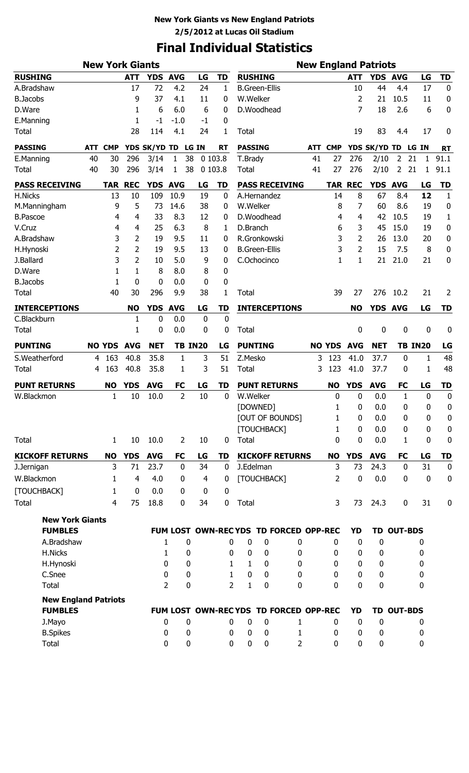### **New York Giants vs New England Patriots 2/5/2012 at Lucas Oil Stadium**

# **Final Individual Statistics**

|                             |            | <b>New York Giants</b> |                  |              |                     |             |                | <b>New England Patriots</b> |                                       |                |     |               |                |              |                   |                |                  |  |
|-----------------------------|------------|------------------------|------------------|--------------|---------------------|-------------|----------------|-----------------------------|---------------------------------------|----------------|-----|---------------|----------------|--------------|-------------------|----------------|------------------|--|
| <b>RUSHING</b>              |            |                        | <b>ATT</b>       | <b>YDS</b>   | <b>AVG</b>          | LG          | <b>TD</b>      |                             | <b>RUSHING</b>                        |                |     |               | <b>ATT</b>     | YDS AVG      |                   | LG             | <b>TD</b>        |  |
| A.Bradshaw                  |            |                        | 17               | 72           | 4.2                 | 24          | 1              |                             | <b>B.Green-Ellis</b>                  |                |     |               | 10             | 44           | 4.4               | 17             | 0                |  |
| <b>B.Jacobs</b>             |            |                        | 9                | 37           | 4.1                 | 11          | 0              | W.Welker                    |                                       |                |     |               | 2              | 21           | 10.5              | 11             | 0                |  |
| D.Ware                      |            |                        | 1                | 6            | 6.0                 | 6           | 0              |                             | D.Woodhead                            |                |     |               | 7              | 18           | 2.6               | 6              | 0                |  |
| E.Manning                   |            |                        | 1                | -1           | $-1.0$              | $-1$        | 0              |                             |                                       |                |     |               |                |              |                   |                |                  |  |
| <b>Total</b>                |            |                        | 28               | 114          | 4.1                 | 24          | 1              | Total                       |                                       |                |     |               | 19             | 83           | 4.4               | 17             | 0                |  |
| <b>PASSING</b>              | <b>ATT</b> | <b>CMP</b>             |                  | YDS SK/YD TD |                     | LG IN       | <b>RT</b>      | <b>PASSING</b>              |                                       |                | ATT | <b>CMP</b>    |                | YDS SK/YD TD |                   | LG IN          | <b>RT</b>        |  |
| E.Manning                   | 40         | 30                     | 296              | 3/14         | 38<br>1             |             | 0 103.8        | T.Brady                     |                                       |                | 41  | 27            | 276            | 2/10         | 2                 | 21<br>1        | 91.1             |  |
| <b>Total</b>                | 40         | 30                     | 296              | 3/14         | 38<br>1             |             | 0 103.8        | Total                       |                                       |                | 41  | 27            | 276            | 2/10         | $\overline{2}$    | 21<br>1        | 91.1             |  |
| <b>PASS RECEIVING</b>       |            | <b>TAR</b>             | <b>REC</b>       | YDS AVG      |                     | LG          | <b>TD</b>      |                             | <b>PASS RECEIVING</b>                 |                |     |               | <b>TAR REC</b> | YDS AVG      |                   | LG             | <b>TD</b>        |  |
| H.Nicks                     |            | 13                     | 10               | 109          | 10.9                | 19          | 0              |                             | A.Hernandez                           |                |     | 14            | 8              | 67           | 8.4               | 12             | $\mathbf{1}$     |  |
| M.Manningham                |            | 9                      | 5                | 73           | 14.6                | 38          | 0              | W.Welker                    |                                       |                |     | 8             | 7              | 60           | 8.6               | 19             | 0                |  |
| <b>B.Pascoe</b>             |            | 4                      | 4                | 33           | 8.3                 | 12          | 0              |                             | D.Woodhead                            |                |     | 4             | 4              | 42           | 10.5              | 19             | 1                |  |
| V.Cruz                      |            | 4                      | 4                | 25           | 6.3                 | 8           | 1              | D.Branch                    |                                       |                |     | 6             | 3              | 45           | 15.0              | 19             | 0                |  |
| A.Bradshaw                  |            | 3                      | 2                | 19           | 9.5                 | 11          | 0              |                             | R.Gronkowski                          |                |     | 3             | 2              | 26           | 13.0              | 20             | $\pmb{0}$        |  |
| H.Hynoski                   |            | $\overline{2}$         | 2                | 19           | 9.5                 | 13          | 0              |                             | <b>B.Green-Ellis</b>                  |                |     | 3             | 2              | 15           | 7.5               | 8              | 0                |  |
| J.Ballard                   |            | 3                      | 2                | 10           | 5.0                 | 9           | 0              |                             | C.Ochocinco                           |                |     | $\mathbf{1}$  | 1              | 21           | 21.0              | 21             | 0                |  |
| D.Ware                      |            | 1                      | 1                | 8            | 8.0                 | 8           | 0              |                             |                                       |                |     |               |                |              |                   |                |                  |  |
| <b>B.Jacobs</b>             |            | 1                      | 0                | 0            | 0.0                 | 0           | 0              |                             |                                       |                |     |               |                |              |                   |                |                  |  |
| <b>Total</b>                |            | 40                     | 30               | 296          | 9.9                 | 38          | 1              | <b>Total</b>                |                                       |                |     | 39            | 27             | 276          | 10.2              | 21             | 2                |  |
| <b>INTERCEPTIONS</b>        |            |                        | <b>NO</b>        | <b>YDS</b>   | <b>AVG</b>          | LG          | TD             |                             | <b>INTERCEPTIONS</b>                  |                |     |               | <b>NO</b>      | <b>YDS</b>   | <b>AVG</b>        | LG             | <b>TD</b>        |  |
| C.Blackburn                 |            |                        | 1                | 0            | 0.0                 | $\mathbf 0$ | $\mathbf 0$    |                             |                                       |                |     |               |                |              |                   |                |                  |  |
| <b>Total</b>                |            |                        | 1                | 0            | 0.0                 | 0           | 0              | <b>Total</b>                |                                       |                |     |               | 0              | 0            | 0                 | 0              | 0                |  |
| <b>PUNTING</b>              |            | <b>NO YDS</b>          | <b>AVG</b>       | <b>NET</b>   | <b>TB IN20</b>      |             | LG             |                             | <b>PUNTING</b>                        |                |     | <b>NO YDS</b> | <b>AVG</b>     | <b>NET</b>   |                   | <b>TB IN20</b> | LG               |  |
| S.Weatherford               | 4          | 163                    | 40.8             | 35.8         | 1                   | 3           | 51             | Z.Mesko                     |                                       |                | 3   | 123           | 41.0           | 37.7         | $\bf{0}$          | $\mathbf{1}$   | 48               |  |
| Total                       | 4          | 163                    | 40.8             | 35.8         | 1                   | 3           | 51             | <b>Total</b>                |                                       |                | 3   | 123           | 41.0           | 37.7         | 0                 | 1              | 48               |  |
| <b>PUNT RETURNS</b>         |            | <b>NO</b>              | <b>YDS</b>       | <b>AVG</b>   | <b>FC</b>           | LG          | <b>TD</b>      |                             | <b>PUNT RETURNS</b>                   |                |     | <b>NO</b>     | <b>YDS</b>     | <b>AVG</b>   | <b>FC</b>         | LG             | <b>TD</b>        |  |
| W.Blackmon                  |            | 1                      | 10               | 10.0         | $\overline{2}$      | 10          | 0              | W.Welker                    |                                       |                |     | 0             | 0              | 0.0          | 1                 | $\mathbf 0$    | $\boldsymbol{0}$ |  |
|                             |            |                        |                  |              |                     |             |                |                             | [DOWNED]                              |                |     | 1             | 0              | 0.0          | $\mathbf 0$       | 0              | 0                |  |
|                             |            |                        |                  |              |                     |             |                |                             | [OUT OF BOUNDS]                       |                |     | 1             | 0              | 0.0          | 0                 | 0              | $\boldsymbol{0}$ |  |
|                             |            |                        |                  |              |                     |             |                |                             | [TOUCHBACK]                           |                |     | 1             | 0              | 0.0          | 0                 | 0              | $\boldsymbol{0}$ |  |
| <b>Total</b>                |            | $\mathbf{1}$           | 10               | 10.0         | 2                   | 10          | 0              | Total                       |                                       |                |     | 0             | 0              | 0.0          | 1                 | $\mathbf 0$    | $\boldsymbol{0}$ |  |
| <b>KICKOFF RETURNS</b>      |            | <b>NO</b>              | <b>YDS</b>       | <b>AVG</b>   | <b>FC</b>           | LG          | TD             |                             | <b>KICKOFF RETURNS</b>                |                |     | <b>NO</b>     | <b>YDS</b>     | <b>AVG</b>   | <b>FC</b>         | LG             | <b>TD</b>        |  |
| J.Jernigan                  |            | 3                      | 71               | 23.7         | $\mathbf 0$         | 34          | $\bf{0}$       |                             | J.Edelman                             |                |     | 3             | 73             | 24.3         | $\mathbf 0$       | 31             | $\boldsymbol{0}$ |  |
| W.Blackmon                  |            | $\mathbf{1}$           | $\overline{4}$   | 4.0          | 0                   | 4           | 0              |                             | [TOUCHBACK]                           |                |     | 2             | 0              | 0.0          | $\mathbf 0$       | $\pmb{0}$      | $\boldsymbol{0}$ |  |
| [TOUCHBACK]                 |            | $\mathbf{1}$           | $\boldsymbol{0}$ | 0.0          | $\mathbf{0}$        | $\mathbf 0$ | $\bf{0}$       |                             |                                       |                |     |               |                |              |                   |                |                  |  |
| <b>Total</b>                |            | 4                      | 75               | 18.8         | 0                   | 34          | $\mathbf 0$    | Total                       |                                       |                |     | 3             | 73             | 24.3         | $\mathbf 0$       | 31             | 0                |  |
| <b>New York Giants</b>      |            |                        |                  |              |                     |             |                |                             |                                       |                |     |               |                |              |                   |                |                  |  |
| <b>FUMBLES</b>              |            |                        |                  |              |                     |             |                |                             | FUM LOST OWN-RECYDS TD FORCED OPP-REC |                |     |               | <b>YD</b>      |              | <b>TD OUT-BDS</b> |                |                  |  |
| A.Bradshaw                  |            |                        |                  |              | $\bf{0}$<br>1       |             | 0              | 0                           | 0                                     | 0              |     | 0             | 0              | $\mathbf 0$  |                   | 0              |                  |  |
| H.Nicks                     |            |                        |                  |              | 0<br>1              |             | 0              | 0                           | 0                                     | 0              |     | 0             | 0              | 0            |                   | 0              |                  |  |
| H.Hynoski                   |            |                        |                  |              | 0<br>0              |             | 1              | 1                           | 0                                     | 0              |     | 0             | 0              | 0            |                   | 0              |                  |  |
| C.Snee                      |            |                        |                  | 0            | 0                   |             | $\mathbf{1}$   | 0                           | 0                                     | 0              |     | 0             | 0              | 0            |                   | 0              |                  |  |
| <b>Total</b>                |            |                        |                  |              | $\overline{2}$<br>0 |             | $\overline{2}$ | $\mathbf{1}$                | 0                                     | 0              |     | $\Omega$      | 0              | 0            |                   | 0              |                  |  |
| <b>New England Patriots</b> |            |                        |                  |              |                     |             |                |                             |                                       |                |     |               |                |              |                   |                |                  |  |
| <b>FUMBLES</b>              |            |                        |                  |              |                     |             |                |                             | FUM LOST OWN-RECYDS TD FORCED OPP-REC |                |     |               | <b>YD</b>      |              | TD OUT-BDS        |                |                  |  |
| J.Mayo                      |            |                        |                  | 0            | 0                   |             | 0              | 0                           | 0                                     | 1              |     | 0             | 0              | $\mathbf{0}$ |                   | 0              |                  |  |
| <b>B.Spikes</b>             |            |                        |                  | 0            | 0                   |             | 0              | 0                           | $\mathbf 0$                           | 1              |     | 0             | 0              | 0            |                   | 0              |                  |  |
| Total                       |            |                        |                  |              | 0<br>0              |             | 0              | 0                           | 0                                     | $\overline{2}$ |     | $\mathbf 0$   | $\mathbf 0$    | 0            |                   | $\bf{0}$       |                  |  |
|                             |            |                        |                  |              |                     |             |                |                             |                                       |                |     |               |                |              |                   |                |                  |  |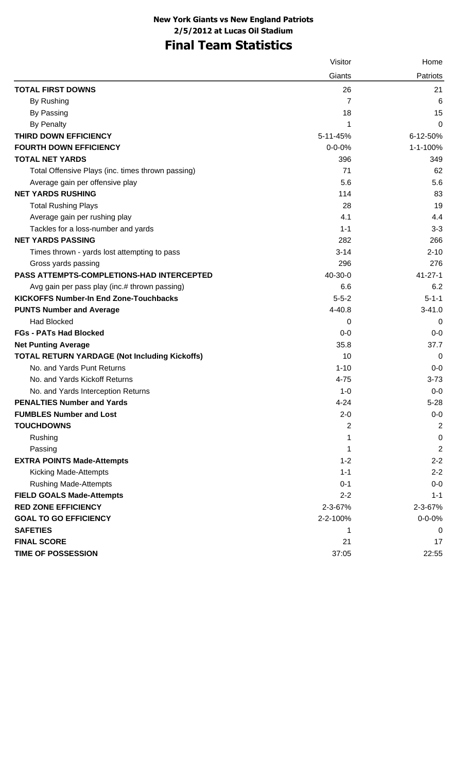### **New York Giants vs New England Patriots 2/5/2012 at Lucas Oil Stadium**

## **Final Team Statistics**

|                                                      | Visitor      | Home           |
|------------------------------------------------------|--------------|----------------|
|                                                      | Giants       | Patriots       |
| <b>TOTAL FIRST DOWNS</b>                             | 26           | 21             |
| By Rushing                                           | 7            | 6              |
| By Passing                                           | 18           | 15             |
| <b>By Penalty</b>                                    | 1            | 0              |
| <b>THIRD DOWN EFFICIENCY</b>                         | 5-11-45%     | 6-12-50%       |
| <b>FOURTH DOWN EFFICIENCY</b>                        | $0 - 0 - 0%$ | 1-1-100%       |
| <b>TOTAL NET YARDS</b>                               | 396          | 349            |
| Total Offensive Plays (inc. times thrown passing)    | 71           | 62             |
| Average gain per offensive play                      | 5.6          | 5.6            |
| <b>NET YARDS RUSHING</b>                             | 114          | 83             |
| <b>Total Rushing Plays</b>                           | 28           | 19             |
| Average gain per rushing play                        | 4.1          | 4.4            |
| Tackles for a loss-number and yards                  | $1 - 1$      | $3 - 3$        |
| <b>NET YARDS PASSING</b>                             | 282          | 266            |
| Times thrown - yards lost attempting to pass         | $3 - 14$     | $2 - 10$       |
| Gross yards passing                                  | 296          | 276            |
| PASS ATTEMPTS-COMPLETIONS-HAD INTERCEPTED            | 40-30-0      | $41 - 27 - 1$  |
| Avg gain per pass play (inc.# thrown passing)        | 6.6          | 6.2            |
| <b>KICKOFFS Number-In End Zone-Touchbacks</b>        | $5 - 5 - 2$  | $5 - 1 - 1$    |
| <b>PUNTS Number and Average</b>                      | 4-40.8       | $3 - 41.0$     |
| <b>Had Blocked</b>                                   | 0            | 0              |
| <b>FGs - PATs Had Blocked</b>                        | $0-0$        | $0-0$          |
| <b>Net Punting Average</b>                           | 35.8         | 37.7           |
| <b>TOTAL RETURN YARDAGE (Not Including Kickoffs)</b> | 10           | 0              |
| No. and Yards Punt Returns                           | $1 - 10$     | $0-0$          |
| No. and Yards Kickoff Returns                        | $4 - 75$     | $3 - 73$       |
| No. and Yards Interception Returns                   | $1 - 0$      | $0-0$          |
| <b>PENALTIES Number and Yards</b>                    | $4 - 24$     | $5 - 28$       |
| <b>FUMBLES Number and Lost</b>                       | $2 - 0$      | $0-0$          |
| <b>TOUCHDOWNS</b>                                    | 2            | $\overline{2}$ |
| Rushing                                              | 1            | 0              |
| Passing                                              | 1            | $\overline{2}$ |
| <b>EXTRA POINTS Made-Attempts</b>                    | $1 - 2$      | $2 - 2$        |
| Kicking Made-Attempts                                | $1 - 1$      | $2 - 2$        |
| <b>Rushing Made-Attempts</b>                         | $0 - 1$      | $0-0$          |
| <b>FIELD GOALS Made-Attempts</b>                     | $2 - 2$      | $1 - 1$        |
| <b>RED ZONE EFFICIENCY</b>                           | 2-3-67%      | 2-3-67%        |
| <b>GOAL TO GO EFFICIENCY</b>                         | 2-2-100%     | $0 - 0 - 0%$   |
| <b>SAFETIES</b>                                      | 1            | 0              |
| <b>FINAL SCORE</b>                                   | 21           | 17             |
| TIME OF POSSESSION                                   | 37:05        | 22:55          |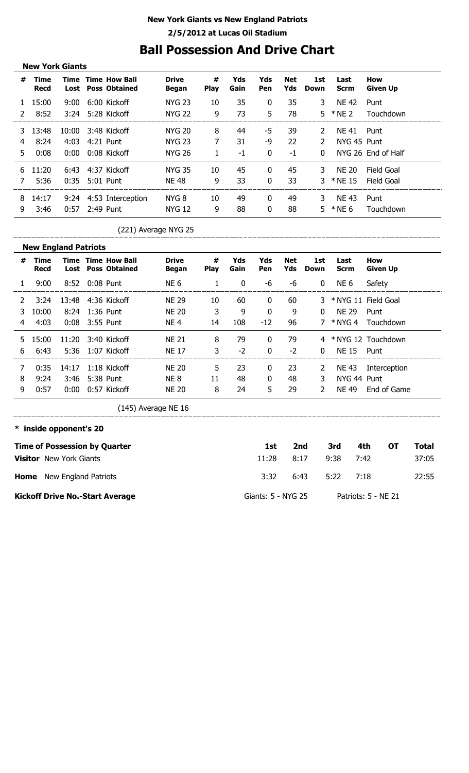### **New York Giants vs New England Patriots 2/5/2012 at Lucas Oil Stadium**

## **Ball Possession And Drive Chart**

|               | <b>New York Giants</b> |       |           |                                                        |                              |                  |             |              |                   |               |                     |                        |  |
|---------------|------------------------|-------|-----------|--------------------------------------------------------|------------------------------|------------------|-------------|--------------|-------------------|---------------|---------------------|------------------------|--|
| #             | Time<br><b>Recd</b>    |       |           | <b>Time Time How Ball</b><br><b>Lost</b> Poss Obtained | <b>Drive</b><br><b>Began</b> | #<br><b>Play</b> | Yds<br>Gain | Yds<br>Pen   | <b>Net</b><br>Yds | 1st<br>Down   | Last<br><b>Scrm</b> | How<br><b>Given Up</b> |  |
| 1.            | 15:00                  | 9:00  |           | 6:00 Kickoff                                           | <b>NYG 23</b>                | 10               | 35          | $\mathbf{0}$ | 35                | 3.            | <b>NE 42</b>        | Punt                   |  |
| $\mathcal{L}$ | 8:52                   | 3:24  |           | 5:28 Kickoff                                           | <b>NYG 22</b>                | 9                | 73          | 5            | 78                |               | $5 * NE2$           | Touchdown              |  |
| 3             | 13:48                  | 10:00 |           | 3:48 Kickoff                                           | <b>NYG 20</b>                | 8                | 44          | -5           | 39                | $\mathcal{L}$ | <b>NF 41</b>        | Punt                   |  |
| 4             | 8:24                   | 4:03  |           | 4:21 Punt                                              | <b>NYG 23</b>                | 7                | 31          | -9           | 22                | $\mathcal{P}$ | NYG 45 Punt         |                        |  |
| 5.            | 0:08                   | 0:00  |           | 0:08 Kickoff                                           | <b>NYG 26</b>                | 1                | $-1$        | 0            | $-1$              | $\Omega$      |                     | NYG 26 End of Half     |  |
| 6.            | 11:20                  |       |           | 6:43 4:37 Kickoff                                      | <b>NYG 35</b>                | 10               | 45          | $\mathbf{0}$ | 45                | 3.            | <b>NE 20</b>        | Field Goal             |  |
|               | 5:36                   | 0:35  |           | 5:01 Punt                                              | <b>NE 48</b>                 | 9                | 33          | $\Omega$     | 33                |               | * NE 15             | Field Goal             |  |
| 8             | 14:17                  |       |           | 9:24 4:53 Interception                                 | NYG 8                        | 10               | 49          | $\mathbf{0}$ | 49                | 3.            | <b>NE 43</b>        | Punt                   |  |
| 9             | 3:46                   | 0:57  | 2:49 Punt |                                                        | <b>NYG 12</b>                | 9                | 88          | $\mathbf{0}$ | 88                |               | $5 * NE 6$          | Touchdown              |  |

| <b>л</b> иг<br>ــ ــ ب |  |
|------------------------|--|
|                        |  |

| #            | Time<br><b>Recd</b> | Time<br>Lost |                | <b>Time How Ball</b><br><b>Poss Obtained</b> | <b>Drive</b><br><b>Began</b> | #<br><b>Play</b> | Yds<br>Gain | Yds<br><b>Pen</b> | <b>Net</b><br>Yds | 1st<br>Down    | Last<br><b>Scrm</b> | How<br><b>Given Up</b> |
|--------------|---------------------|--------------|----------------|----------------------------------------------|------------------------------|------------------|-------------|-------------------|-------------------|----------------|---------------------|------------------------|
| $\mathbf{1}$ | 9:00                |              | 8:52 0:08 Punt |                                              | NE 6                         | 1                | 0           | -6                | -6                | 0              | NE 6                | Safety                 |
| 2            | 3:24                |              |                | 13:48 4:36 Kickoff                           | <b>NE 29</b>                 | 10               | 60          | $\mathbf{0}$      | 60                |                |                     | 3 * NYG 11 Field Goal  |
| 3.           | 10:00               | 8:24         |                | 1:36 Punt                                    | <b>NE 20</b>                 | 3                | 9           | $\mathbf 0$       | 9                 | $\Omega$       | <b>NE 29</b>        | Punt                   |
| 4            | 4:03                | 0:08         | 3:55 Punt      |                                              | NE <sub>4</sub>              | 14               | 108         | $-12$             | 96                |                |                     | 7 * NYG 4 Touchdown    |
| 5.           | 15:00               | 11:20        |                | 3:40 Kickoff                                 | <b>NE 21</b>                 | 8                | 79          | $\mathbf{0}$      | 79                |                |                     | 4 * NYG 12 Touchdown   |
| 6            | 6:43                | 5:36         |                | 1:07 Kickoff                                 | <b>NE 17</b>                 | 3                | $-2$        | $\mathbf{0}$      | $-2$              | $\Omega$       | <b>NE 15</b>        | Punt                   |
| 7            | 0:35                | 14:17        |                | 1:18 Kickoff                                 | <b>NE 20</b>                 | 5.               | 23          | 0                 | 23                | 2              | NE 43               | Interception           |
| 8            | 9:24                | 3:46         |                | 5:38 Punt                                    | NE 8                         | 11               | 48          | $\mathbf{0}$      | 48                | 3.             | NYG 44 Punt         |                        |
| 9            | 0:57                | 0:00         |                | 0:57 Kickoff                                 | <b>NE 20</b>                 | 8                | 24          | 5                 | 29                | $\overline{2}$ | <b>NE 49</b>        | End of Game            |

| * inside opponent's 20                 |                    |      |      |                     |    |
|----------------------------------------|--------------------|------|------|---------------------|----|
| <b>Time of Possession by Quarter</b>   | 1st                | 2nd  | 3rd  | 4th                 | ЮT |
| <b>Visitor</b> New York Giants         | 11:28              | 8:17 | 9:38 | 7:42                |    |
| <b>Home</b> New England Patriots       | 3:32               | 6:43 | 5:22 | 7:18                |    |
| <b>Kickoff Drive No.-Start Average</b> | Giants: 5 - NYG 25 |      |      | Patriots: 5 - NE 21 |    |

**15** Total

37:05

22:55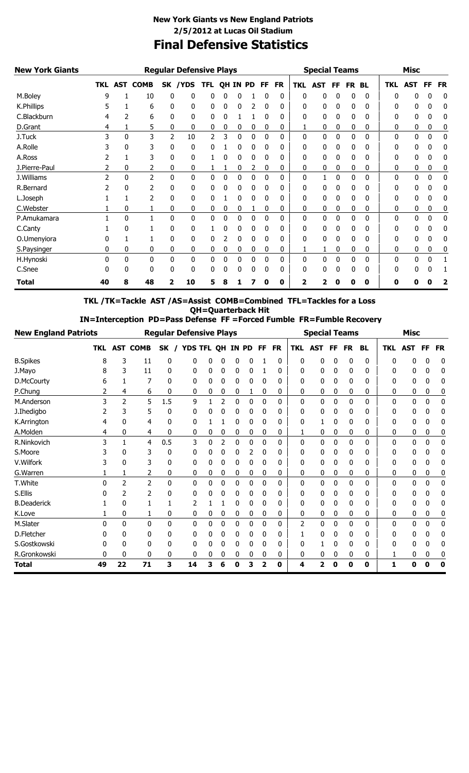### **Final Defensive Statistics New York Giants vs New England Patriots 2/5/2012 at Lucas Oil Stadium**

| <b>New York Giants</b> |          |   |                | <b>Special Teams</b> |              |            |              |          | <b>Misc</b> |           |           |            |            |    |              |           |              |              |    |           |
|------------------------|----------|---|----------------|----------------------|--------------|------------|--------------|----------|-------------|-----------|-----------|------------|------------|----|--------------|-----------|--------------|--------------|----|-----------|
|                        |          |   | TKL AST COMB   |                      | SK /YDS      | <b>TFL</b> |              | QH IN PD |             | <b>FF</b> | <b>FR</b> | <b>TKL</b> | <b>AST</b> | FF | FR.          | <b>BL</b> | <b>TKL</b>   | <b>AST</b>   | FF | <b>FR</b> |
| M.Boley                | q        |   | 10             | 0                    | $\mathbf{0}$ | 0          | 0            | 0        |             | 0         | 0         | 0          | 0          | 0  | 0            | 0         | 0            | 0            | 0  | 0         |
| K.Phillips             |          |   | 6              | 0                    | 0            | 0          | 0            | 0        | 2           | 0         | 0         | 0          | 0          | 0  | 0            | 0         | O            | 0            | 0  | 0         |
| C.Blackburn            |          |   | 6              | 0                    | 0            | 0          | 0            |          |             |           | 0         | 0          | 0          | 0  | 0            | 0         | 0            | 0            | 0  | 0         |
| D.Grant                | 4        |   | 5              | 0                    | 0            | 0          | 0            | 0        | 0           | 0         | 0         |            | 0          | 0  | 0            | 0         | 0            | 0            | 0  | 0         |
| J.Tuck                 | 3        | 0 | 3              | $\overline{2}$       | 10           | 2          |              | 0        | 0           | 0         | 0         | 0          | 0          | 0  | 0            | 0         | 0            | $\mathbf{0}$ | 0  | 0         |
| A.Rolle                |          | 0 | 3              | 0                    | 0            | 0          |              | 0        | 0           | 0         | 0         | 0          | 0          | 0  | 0            | 0         | 0            | 0            | 0  | 0         |
| A.Ross                 |          |   | 3              | 0                    | 0            |            | 0            | 0        | 0           |           | 0         | 0          | 0          | 0  | 0            | 0         | 0            | 0            | 0  | 0         |
| J.Pierre-Paul          |          | 0 |                | 0                    | 0            |            |              | 0        | 2           | 0         | 0         | 0          | 0          | 0  | 0            | 0         | 0            | 0            | 0  | 0         |
| J.Williams             |          | 0 | $\overline{2}$ | 0                    | $\mathbf{0}$ | 0          | 0            | 0        | 0           | 0         | 0         | 0          |            | 0  | 0            | 0         | $\mathbf{0}$ | 0            | 0  | 0         |
| R.Bernard              |          | 0 |                | 0                    | 0            | 0          |              |          |             |           | 0         | 0          |            | 0  | 0            | 0         | ŋ            | 0            | 0  | 0         |
| L.Joseph               |          |   | 2              | 0                    | 0            | 0          |              | 0        | 0           | 0         | 0         | 0          | 0          | 0  | 0            | 0         | 0            | 0            | 0  | 0         |
| C.Webster              |          | 0 |                | 0                    | 0            | 0          | 0            | 0        |             | 0         | 0         | 0          | 0          | 0  | 0            | 0         | 0            | 0            | 0  | 0         |
| P.Amukamara            |          | 0 |                | 0                    | 0            | 0          | 0            | 0        | 0           | 0         | 0         | 0          | 0          | 0  | 0            | 0         | 0            | 0            | 0  | 0         |
| C.Canty                |          | 0 |                | 0                    | 0            |            |              | 0        | 0           | 0         | 0         | 0          | 0          | 0  | $\mathbf{0}$ | $\Omega$  | 0            | 0            | 0  | 0         |
| O.Umenyiora            |          |   |                | 0                    | 0            | 0          |              | 0        | 0           | 0         | 0         | 0          | 0          | 0  | 0            | 0         | 0            | 0            | 0  | 0         |
| S.Paysinger            | 0        | 0 | 0              | 0                    | 0            | 0          | 0            | 0        | 0           | 0         | 0         | 1          | 1          | 0  | 0            | 0         | 0            | 0            | 0  | 0         |
| H.Hynoski              | $\Omega$ | 0 | 0              | 0                    | $\mathbf{0}$ | 0          | $\mathbf{0}$ | 0        | 0           | 0         | 0         | 0          | 0          | 0  | 0            | 0         | $\Omega$     | 0            | 0  |           |
| C.Snee                 | N        | 0 | 0              | 0                    | 0            | 0          |              | 0        | 0           | 0         | 0         | 0          | 0          | 0  | 0            | 0         | 0            | 0            | 0  |           |
| <b>Total</b>           | 40       | 8 | 48             | 2                    | 10           | 5          |              |          |             | Ω         | 0         | 2          |            | Ω  | 0            | 0         | Ω            |              | Ω  | 2         |

**TKL /TK=Tackle AST /AS=Assist COMB=Combined TFL=Tackles for a Loss QH=Quarterback Hit**

 **IN=Interception PD=Pass Defense FF =Forced Fumble FR=Fumble Recovery**

| <b>New England Patriots</b> |            |               |                 | <b>Regular Defensive Plays</b> |    |                |                | <b>Special Teams</b> |              |                         |           |                | <b>Misc</b>             |              |              |           |            |            |              |           |
|-----------------------------|------------|---------------|-----------------|--------------------------------|----|----------------|----------------|----------------------|--------------|-------------------------|-----------|----------------|-------------------------|--------------|--------------|-----------|------------|------------|--------------|-----------|
|                             | <b>TKL</b> |               | <b>AST COMB</b> | SK                             |    | <b>YDS TFL</b> | OH             | ΙN                   | <b>PD</b>    | <b>FF</b>               | <b>FR</b> | <b>TKL</b>     | <b>AST</b>              | FF           | <b>FR</b>    | <b>BL</b> | <b>TKL</b> | <b>AST</b> | <b>FF</b>    | <b>FR</b> |
| <b>B.Spikes</b>             | 8          | 3             | 11              | 0                              | 0  |                | 0              | 0                    | 0            |                         | 0         | 0              | 0                       | 0            | 0            | 0         | 0          | 0          | 0            | 0         |
| J.Mayo                      |            | 3             | 11              | 0                              | 0  | 0              | 0              | 0                    | 0            |                         | 0         | 0              | 0                       | 0            | 0            | 0         | 0          | 0          |              | 0         |
| D.McCourty                  | 6          |               |                 | 0                              | 0  | 0              | 0              | 0                    | 0            | 0                       | 0         | 0              | 0                       | 0            | 0            | 0         | 0          | 0          | 0            | 0         |
| P.Chung                     |            | 4             | 6               | 0                              | 0  | 0              | 0              | 0                    | 1            | 0                       | 0         | 0              | 0                       | 0            | 0            | 0         | 0          | 0          | 0            | 0         |
| M.Anderson                  | 3          | 2             | 5               | 1.5                            | 9  |                | $\overline{2}$ | 0                    | $\mathbf{0}$ | $\mathbf{0}$            | 0         | 0              | 0                       | 0            | $\mathbf{0}$ | 0         | 0          | 0          | $\mathbf{0}$ | 0         |
| J.Ihedigbo                  |            | 3             | 5               | 0                              | 0  |                | 0              | 0                    | 0            | 0                       | 0         | 0              | 0                       | 0            | 0            | 0         | O          | 0          | 0            | 0         |
| K.Arrington                 |            | 0             | 4               | 0                              | 0  |                |                | 0                    | 0            | 0                       | 0         | 0              |                         | 0            | 0            | 0         | 0          | 0          | 0            | 0         |
| A.Molden                    | 4          | 0             | 4               | 0                              | 0  | 0              | 0              | 0                    | 0            | 0                       | 0         | 1              | 0                       | 0            | 0            | 0         | 0          | 0          | 0            | 0         |
| R.Ninkovich                 | 3          |               | 4               | 0.5                            | 3  | 0              | 2              | 0                    | 0            | 0                       | 0         | 0              | $\mathbf{0}$            | 0            | 0            | 0         | 0          | 0          | 0            | 0         |
| S.Moore                     |            | 0             | 3               | 0                              | 0  |                | 0              | 0                    | 2            | 0                       | 0         | 0              | 0                       | 0            | 0            | 0         | 0          | 0          |              | 0         |
| V.Wilfork                   |            | 0             |                 | 0                              | 0  | 0              | 0              | 0                    | 0            | 0                       | 0         | 0              | 0                       | 0            | 0            | 0         | 0          | 0          |              | 0         |
| G.Warren                    |            |               | 2               | 0                              | 0  | 0              | 0              | 0                    | 0            | 0                       | 0         | 0              | 0                       | 0            | 0            | 0         | 0          | 0          | 0            | 0         |
| T.White                     | ŋ          | $\mathcal{P}$ | $\overline{2}$  | 0                              | 0  | 0              | 0              | 0                    | 0            | 0                       | 0         | 0              | 0                       | 0            | 0            | 0         | 0          | 0          | 0            | 0         |
| S.Ellis                     |            | 2             | 2               |                                | 0  | 0              | 0              | 0                    | 0            | $\mathbf{0}$            | 0         | 0              | 0                       | 0            | 0            | 0         | 0          | 0          |              | 0         |
| <b>B.Deaderick</b>          |            | 0             |                 |                                | 2  |                |                | 0                    | 0            | 0                       | 0         | $\Omega$       | 0                       | 0            | 0            | 0         | 0          | 0          | 0            | 0         |
| K.Love                      |            | 0             |                 | 0                              | 0  | 0              | 0              | 0                    | 0            | 0                       | 0         | 0              | 0                       | 0            | 0            | 0         | 0          | 0          | 0            | 0         |
| M.Slater                    | ŋ          | 0             | 0               | 0                              | 0  | 0              | 0              | 0                    | 0            | $\mathbf{0}$            | 0         | $\overline{2}$ | 0                       | $\mathbf{0}$ | $\mathbf{0}$ | 0         | 0          | 0          | $\mathbf{0}$ | 0         |
| D.Fletcher                  |            | 0             | 0               | 0                              | 0  |                | 0              | 0                    | 0            | 0                       | 0         |                | 0                       | 0            | 0            | 0         | 0          | 0          |              | 0         |
| S.Gostkowski                |            | 0             | 0               |                                | 0  |                | 0              | 0                    | 0            | 0                       | 0         | 0              |                         | 0            | 0            | 0         | 0          | 0          |              | 0         |
| R.Gronkowski                | $\Omega$   | 0             | 0               | 0                              | 0  | 0              | 0              | 0                    | 0            | 0                       | 0         | 0              | 0                       | 0            | 0            | 0         |            | 0          | 0            | 0         |
| <b>Total</b>                | 49         | 22            | 71              | 3                              | 14 | 3              | 6              | 0                    | 3            | $\overline{\mathbf{2}}$ | 0         | 4              | $\overline{\mathbf{2}}$ | 0            | 0            | 0         | 1          | 0          | 0            | 0         |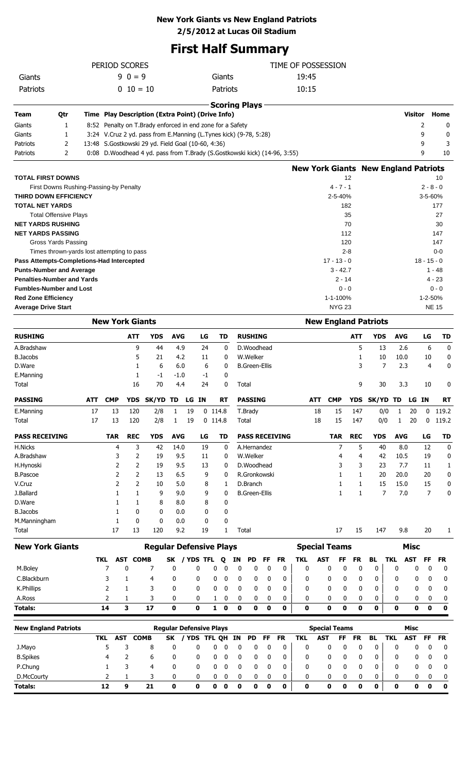#### **New York Giants vs New England Patriots**

**2/5/2012 at Lucas Oil Stadium**

## **First Half Summary**

|                                           | PERIOD SCORES                              |                       |                        |                                                                           |                                |                |                             | TIME OF POSSESSION |                      |             |                       |                                             |                      |                     |                             |            |                 |                        |             |
|-------------------------------------------|--------------------------------------------|-----------------------|------------------------|---------------------------------------------------------------------------|--------------------------------|----------------|-----------------------------|--------------------|----------------------|-------------|-----------------------|---------------------------------------------|----------------------|---------------------|-----------------------------|------------|-----------------|------------------------|-------------|
| Giants                                    |                                            |                       | $90 = = 9$             |                                                                           |                                |                | Giants                      |                    |                      |             |                       | 19:45                                       |                      |                     |                             |            |                 |                        |             |
| Patriots                                  |                                            |                       | $0 10 = 10$            |                                                                           |                                |                | Patriots                    |                    |                      |             |                       | 10:15                                       |                      |                     |                             |            |                 |                        |             |
|                                           |                                            |                       |                        |                                                                           |                                |                | <b>Scoring Plays</b>        |                    |                      |             |                       |                                             |                      |                     |                             |            |                 |                        |             |
| Team                                      | Qtr                                        |                       |                        | Time Play Description (Extra Point) (Drive Info)                          |                                |                |                             |                    |                      |             |                       |                                             |                      |                     |                             |            | <b>Visitor</b>  |                        | Home        |
| Giants                                    | 1                                          |                       |                        | 8:52 Penalty on T.Brady enforced in end zone for a Safety                 |                                |                |                             |                    |                      |             |                       |                                             |                      |                     |                             |            | 2               |                        | 0           |
| Giants                                    | 1                                          |                       |                        | 3:24 V.Cruz 2 yd. pass from E.Manning (L.Tynes kick) (9-78, 5:28)         |                                |                |                             |                    |                      |             |                       |                                             |                      |                     |                             |            | 9               |                        | 0           |
| Patriots                                  | 2                                          |                       |                        | 13:48 S.Gostkowski 29 yd. Field Goal (10-60, 4:36)                        |                                |                |                             |                    |                      |             |                       |                                             |                      |                     |                             |            | 9               |                        | 3           |
| Patriots                                  | 2                                          |                       |                        | 0:08 D.Woodhead 4 yd. pass from T.Brady (S.Gostkowski kick) (14-96, 3:55) |                                |                |                             |                    |                      |             |                       |                                             |                      |                     |                             |            | 9               |                        | 10          |
|                                           |                                            |                       |                        |                                                                           |                                |                |                             |                    |                      |             |                       | <b>New York Giants New England Patriots</b> |                      |                     |                             |            |                 |                        |             |
| <b>TOTAL FIRST DOWNS</b>                  |                                            |                       |                        |                                                                           |                                |                |                             |                    |                      |             |                       |                                             | $4 - 7 - 1$          | 12                  |                             |            |                 |                        | 10          |
| THIRD DOWN EFFICIENCY                     | First Downs Rushing-Passing-by Penalty     |                       |                        |                                                                           |                                |                |                             |                    |                      |             |                       |                                             | 2-5-40%              |                     |                             |            |                 | $2 - 8 - 0$<br>3-5-60% |             |
| <b>TOTAL NET YARDS</b>                    |                                            |                       |                        |                                                                           |                                |                |                             |                    |                      |             |                       |                                             |                      | 182                 |                             |            |                 |                        | 177         |
| <b>Total Offensive Plays</b>              |                                            |                       |                        |                                                                           |                                |                |                             |                    |                      |             |                       |                                             |                      | 35                  |                             |            |                 |                        | 27          |
| <b>NET YARDS RUSHING</b>                  |                                            |                       |                        |                                                                           |                                |                |                             |                    |                      |             |                       |                                             |                      | 70                  |                             |            |                 |                        | 30          |
| <b>NET YARDS PASSING</b>                  |                                            |                       |                        |                                                                           |                                |                |                             |                    |                      |             |                       |                                             |                      | 112                 |                             |            |                 |                        | 147         |
| Gross Yards Passing                       |                                            |                       |                        |                                                                           |                                |                |                             |                    |                      |             |                       |                                             |                      | 120                 |                             |            |                 |                        | 147         |
|                                           | Times thrown-yards lost attempting to pass |                       |                        |                                                                           |                                |                |                             |                    |                      |             |                       |                                             |                      | $2 - 8$             |                             |            |                 |                        | $0 - 0$     |
| Pass Attempts-Completions-Had Intercepted |                                            |                       |                        |                                                                           |                                |                |                             |                    |                      |             |                       |                                             | $17 - 13 - 0$        |                     |                             |            |                 | $18 - 15 - 0$          |             |
| <b>Punts-Number and Average</b>           |                                            |                       |                        |                                                                           |                                |                |                             |                    |                      |             |                       |                                             | $3 - 42.7$           |                     |                             |            |                 | 1 - 48                 |             |
| <b>Penalties-Number and Yards</b>         |                                            |                       |                        |                                                                           |                                |                |                             |                    |                      |             |                       |                                             | $2 - 14$             |                     |                             |            |                 | $4 - 23$               |             |
| <b>Fumbles-Number and Lost</b>            |                                            |                       |                        |                                                                           |                                |                |                             |                    |                      |             |                       |                                             |                      | $0 - 0$             |                             |            |                 |                        | $0 - 0$     |
| <b>Red Zone Efficiency</b>                |                                            |                       |                        |                                                                           |                                |                |                             |                    |                      |             |                       |                                             | 1-1-100%             |                     |                             |            |                 | 1-2-50%                |             |
| <b>Average Drive Start</b>                |                                            |                       |                        |                                                                           |                                |                |                             |                    |                      |             |                       |                                             | <b>NYG 23</b>        |                     |                             |            |                 | <b>NE 15</b>           |             |
|                                           |                                            |                       | <b>New York Giants</b> |                                                                           |                                |                |                             |                    |                      |             |                       |                                             |                      |                     | <b>New England Patriots</b> |            |                 |                        |             |
| <b>RUSHING</b>                            |                                            |                       | ATT                    | <b>YDS</b>                                                                | <b>AVG</b>                     | LG             | TD                          |                    | <b>RUSHING</b>       |             |                       |                                             |                      | ATT                 | <b>YDS</b>                  | <b>AVG</b> |                 | LG                     | TD          |
| A.Bradshaw                                |                                            |                       |                        | 9<br>44                                                                   | 4.9                            | 24             | 0                           |                    | D.Woodhead           |             |                       |                                             |                      | 5                   | 13                          | 2.6        |                 | 6                      | 0           |
| <b>B.Jacobs</b>                           |                                            |                       |                        | 5<br>21                                                                   | 4.2                            | 11             | 0                           |                    | W.Welker             |             |                       |                                             |                      | 1                   | 10                          | 10.0       |                 | 10                     | 0           |
| D.Ware                                    |                                            |                       | 1                      | 6                                                                         | 6.0                            | 6              | 0                           |                    | <b>B.Green-Ellis</b> |             |                       |                                             |                      | 3                   | 7                           | 2.3        |                 | 4                      | 0           |
| E.Manning                                 |                                            |                       | 1                      | $-1$                                                                      | $-1.0$                         | $-1$           | 0                           |                    |                      |             |                       |                                             |                      |                     |                             |            |                 |                        |             |
| Total                                     |                                            |                       | 16                     | 70                                                                        | 4.4                            | 24             | 0                           |                    | Total                |             |                       |                                             |                      | 9                   | 30                          | 3.3        |                 | 10                     | 0           |
| PASSING                                   | ATT                                        | <b>CMP</b>            | YDS                    | SK/YD                                                                     | TD<br>LG                       | IN.            | <b>RT</b>                   |                    | PASSING              |             |                       | ATT                                         | <b>CMP</b>           | YDS                 | SK/YD                       | TD         | LG              | <b>IN</b>              | <b>RT</b>   |
| E.Manning                                 | 17                                         |                       | 13<br>120              | 2/8                                                                       | 1<br>19                        |                | $0$ 114.8                   |                    | T.Brady              |             |                       | 18                                          | 15                   | 147                 | 0/0                         | 1          | 20              | $\mathbf{0}$           | 119.2       |
| Total                                     | 17                                         |                       | 13<br>120              | 2/8                                                                       | 19<br>1                        |                | $0$ 114.8                   |                    | Total                |             |                       | 18                                          | 15                   | 147                 | 0/0                         | 1          | 20              | 0                      | 119.2       |
| <b>PASS RECEIVING</b>                     |                                            | <b>TAR</b>            | <b>REC</b>             | <b>YDS</b>                                                                | <b>AVG</b>                     | LG             | TD                          |                    |                      |             | <b>PASS RECEIVING</b> |                                             | <b>TAR</b>           | <b>REC</b>          | <b>YDS</b>                  | <b>AVG</b> |                 | LG                     | <b>TD</b>   |
| H.Nicks                                   |                                            |                       | 4                      | 3<br>42                                                                   | 14.0                           | 19             | 0                           |                    | A.Hernandez          |             |                       |                                             | 7                    | 5                   | 40                          | 8.0        |                 | 12                     | 0           |
| A.Bradshaw                                |                                            |                       | 3                      | 2<br>19                                                                   | 9.5                            | 11             | 0                           |                    | W.Welker             |             |                       |                                             | 4                    | 4                   | 42                          | 10.5       |                 | 19                     | 0           |
| H.Hynoski                                 |                                            |                       | 2                      | 2<br>19                                                                   | 9.5                            | 13             | 0                           |                    | D.Woodhead           |             |                       |                                             | 3                    | 3                   | 23                          | 7.7        |                 | 11                     | 1           |
| <b>B.Pascoe</b>                           |                                            |                       | 2                      | 2<br>13                                                                   | 6.5                            | 9              | 0                           |                    | R.Gronkowski         |             |                       |                                             | 1                    | 1                   | 20                          | 20.0       |                 | 20                     | 0           |
| V.Cruz                                    |                                            |                       | 2                      | 2<br>10                                                                   | 5.0                            | 8              | 1                           |                    | D.Branch             |             |                       |                                             | 1                    | 1                   | 15                          | 15.0       |                 | 15                     | 0           |
| J.Ballard                                 |                                            |                       | $\mathbf{1}$           | 1<br>9                                                                    | 9.0                            | 9              | 0                           |                    | <b>B.Green-Ellis</b> |             |                       |                                             | 1                    | 1                   | 7                           | 7.0        |                 | $\overline{7}$         | 0           |
| D.Ware                                    |                                            |                       | 1<br>1                 | 8                                                                         | 8.0                            | 8              | 0                           |                    |                      |             |                       |                                             |                      |                     |                             |            |                 |                        |             |
| <b>B.Jacobs</b>                           |                                            |                       | 1<br>0<br>1<br>0       | 0<br>0                                                                    | 0.0                            | 0              | 0<br>0                      |                    |                      |             |                       |                                             |                      |                     |                             |            |                 |                        |             |
| M.Manningham<br>Total                     |                                            | 17                    | 13                     | 120                                                                       | 0.0<br>9.2                     | 0<br>19        | 1                           |                    | Total                |             |                       |                                             | 17                   | 15                  | 147                         | 9.8        |                 | 20                     | 1           |
|                                           |                                            |                       |                        |                                                                           |                                |                |                             |                    |                      |             |                       |                                             |                      |                     |                             |            |                 |                        |             |
| <b>New York Giants</b>                    |                                            |                       |                        |                                                                           | <b>Regular Defensive Plays</b> |                |                             |                    |                      |             |                       | <b>Special Teams</b>                        |                      |                     |                             |            | <b>Misc</b>     |                        |             |
| M.Boley                                   |                                            | TKL<br>$\overline{7}$ | AST<br>0               | <b>COMB</b><br>7                                                          | SK<br>0                        | / YDS TFL<br>0 | Q<br>0<br>0                 | ΙN<br>0            | PD<br>0              | FF<br>0     | <b>FR</b><br>0        | TKL<br>AST<br>$\mathbf 0$                   | FF<br>0              | <b>FR</b><br>0<br>0 | <b>BL</b><br>0              | TKL<br>0   | <b>AST</b><br>0 | FF<br>0                | FR          |
|                                           |                                            | 3                     |                        |                                                                           |                                |                |                             |                    |                      |             |                       |                                             |                      |                     |                             |            |                 |                        | 0           |
| C.Blackburn                               |                                            |                       | 1                      | 4<br>3                                                                    | 0                              | 0              | 0<br>0                      | 0                  | 0                    | 0           | 0                     | 0                                           | 0                    | 0<br>0              | 0                           | 0          | 0               | 0                      | 0           |
| K.Phillips                                |                                            | 2                     | 1                      |                                                                           | 0                              | 0              | 0<br>0                      | 0                  | 0                    | 0           | 0                     | 0                                           | 0                    | 0<br>0              | 0                           | 0          | 0               | 0                      | 0           |
| A.Ross                                    |                                            | 2                     | 1                      | 3                                                                         | 0                              | 0              | 0<br>1                      | 0                  | 0                    | 0           | 0                     | 0                                           | 0                    | 0<br>0              | 0                           | 0          | 0               | 0                      | 0           |
| <b>Totals:</b>                            |                                            | 14                    | 3                      | 17                                                                        | $\mathbf 0$                    | $\mathbf 0$    | $\mathbf{1}$<br>$\mathbf 0$ | $\mathbf 0$        | 0                    | $\mathbf 0$ | 0                     | 0                                           | $\bf{0}$             | 0<br>0              | 0                           | 0          | 0               | $\mathbf 0$            | $\mathbf 0$ |
| <b>New England Patriots</b>               |                                            |                       |                        |                                                                           | <b>Regular Defensive Plays</b> |                |                             |                    |                      |             |                       |                                             | <b>Special Teams</b> |                     |                             |            | <b>Misc</b>     |                        |             |
|                                           |                                            | <b>TKL</b>            | <b>AST</b>             | <b>COMB</b>                                                               | / YDS<br>SK                    |                | <b>TFL QH</b>               | IN                 | <b>PD</b>            | FF          | <b>FR</b>             | <b>TKL</b><br><b>AST</b>                    | FF                   | <b>FR</b>           | <b>BL</b>                   | <b>TKL</b> | <b>AST</b>      | <b>FF</b>              | <b>FR</b>   |
| J.Mayo                                    |                                            | 5                     | 3                      | 8                                                                         | 0                              | 0              | $\bf{0}$<br>0               | 0                  | 0                    | 0           | 0                     | 0                                           | 0                    | 0<br>0              | 0                           | 0          | 0               | 0                      | 0           |
| <b>B.Spikes</b>                           |                                            | 4                     | $\overline{2}$         | 6                                                                         | 0                              | 0              | 0<br>0                      | 0                  | 0                    | 0           | 0                     | 0                                           | 0                    | 0<br>0              | 0                           | 0          | 0               | 0                      | 0           |
| P.Chung                                   |                                            | 1                     | 3                      | 4                                                                         | 0                              | 0              | $\bf{0}$<br>0               | 0                  | 0                    | 0           | 0                     | 0                                           | 0                    | 0<br>0              | 0                           | 0          | 0               | 0                      | 0           |
| D.McCourty                                |                                            | 2                     | 1                      | 3                                                                         | 0                              | 0              | 0<br>0                      | 0                  | 0                    | 0           | 0                     | 0                                           | 0                    | 0<br>0              | 0                           | 0          | 0               | 0                      | 0           |
| <b>Totals:</b>                            |                                            | 12                    | 9                      | 21                                                                        | 0                              | $\mathbf 0$    | $\mathbf 0$<br>$\mathbf 0$  | $\mathbf 0$        | 0                    | 0           | 0                     | 0                                           | 0                    | 0<br>0              | 0                           | 0          | 0               | 0                      | $\mathbf 0$ |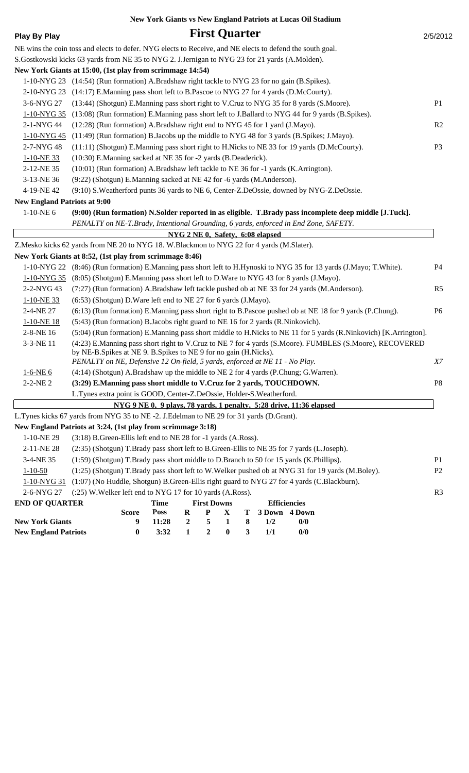|                                                                                                           |                                                                                     |                                                                      |             |                  |                                  |                  |              |     |                     | New York Giants vs New England Patriots at Lucas Oil Stadium                                                        |                |
|-----------------------------------------------------------------------------------------------------------|-------------------------------------------------------------------------------------|----------------------------------------------------------------------|-------------|------------------|----------------------------------|------------------|--------------|-----|---------------------|---------------------------------------------------------------------------------------------------------------------|----------------|
| <b>Play By Play</b>                                                                                       |                                                                                     |                                                                      |             |                  | <b>First Quarter</b>             |                  |              |     |                     |                                                                                                                     | 2/5/2012       |
| NE wins the coin toss and elects to defer. NYG elects to Receive, and NE elects to defend the south goal. |                                                                                     |                                                                      |             |                  |                                  |                  |              |     |                     |                                                                                                                     |                |
| S.Gostkowski kicks 63 yards from NE 35 to NYG 2. J.Jernigan to NYG 23 for 21 yards (A.Molden).            |                                                                                     |                                                                      |             |                  |                                  |                  |              |     |                     |                                                                                                                     |                |
| New York Giants at 15:00, (1st play from scrimmage 14:54)                                                 |                                                                                     |                                                                      |             |                  |                                  |                  |              |     |                     |                                                                                                                     |                |
| 1-10-NYG 23 (14:54) (Run formation) A.Bradshaw right tackle to NYG 23 for no gain (B.Spikes).             |                                                                                     |                                                                      |             |                  |                                  |                  |              |     |                     |                                                                                                                     |                |
| 2-10-NYG 23                                                                                               | (14:17) E.Manning pass short left to B.Pascoe to NYG 27 for 4 yards (D.McCourty).   |                                                                      |             |                  |                                  |                  |              |     |                     |                                                                                                                     |                |
| 3-6-NYG 27                                                                                                |                                                                                     |                                                                      |             |                  |                                  |                  |              |     |                     | (13:44) (Shotgun) E.Manning pass short right to V.Cruz to NYG 35 for 8 yards (S.Moore).                             | P <sub>1</sub> |
| 1-10-NYG 35                                                                                               |                                                                                     |                                                                      |             |                  |                                  |                  |              |     |                     | (13:08) (Run formation) E.Manning pass short left to J.Ballard to NYG 44 for 9 yards (B.Spikes).                    |                |
| 2-1-NYG 44                                                                                                | (12:28) (Run formation) A.Bradshaw right end to NYG 45 for 1 yard (J.Mayo).         |                                                                      |             |                  |                                  |                  |              |     |                     |                                                                                                                     | R <sub>2</sub> |
| 1-10-NYG 45                                                                                               |                                                                                     |                                                                      |             |                  |                                  |                  |              |     |                     | (11:49) (Run formation) B. Jacobs up the middle to NYG 48 for 3 yards (B. Spikes; J. Mayo).                         |                |
| 2-7-NYG48                                                                                                 |                                                                                     |                                                                      |             |                  |                                  |                  |              |     |                     | (11:11) (Shotgun) E.Manning pass short right to H.Nicks to NE 33 for 19 yards (D.McCourty).                         | P <sub>3</sub> |
| 1-10-NE33                                                                                                 |                                                                                     | (10:30) E.Manning sacked at NE 35 for -2 yards (B.Deaderick).        |             |                  |                                  |                  |              |     |                     |                                                                                                                     |                |
| 2-12-NE 35                                                                                                | (10:01) (Run formation) A.Bradshaw left tackle to NE 36 for -1 yards (K.Arrington). |                                                                      |             |                  |                                  |                  |              |     |                     |                                                                                                                     |                |
| 3-13-NE 36                                                                                                | (9:22) (Shotgun) E.Manning sacked at NE 42 for -6 yards (M.Anderson).               |                                                                      |             |                  |                                  |                  |              |     |                     |                                                                                                                     |                |
| 4-19-NE 42                                                                                                |                                                                                     |                                                                      |             |                  |                                  |                  |              |     |                     | (9:10) S. Weatherford punts 36 yards to NE 6, Center-Z. DeOssie, downed by NYG-Z. DeOssie.                          |                |
| <b>New England Patriots at 9:00</b>                                                                       |                                                                                     |                                                                      |             |                  |                                  |                  |              |     |                     |                                                                                                                     |                |
| $1-10-NE$ 6                                                                                               |                                                                                     |                                                                      |             |                  |                                  |                  |              |     |                     | (9:00) (Run formation) N.Solder reported in as eligible. T.Brady pass incomplete deep middle [J.Tuck].              |                |
|                                                                                                           |                                                                                     |                                                                      |             |                  |                                  |                  |              |     |                     | PENALTY on NE-T.Brady, Intentional Grounding, 6 yards, enforced in End Zone, SAFETY.                                |                |
|                                                                                                           |                                                                                     |                                                                      |             |                  | NYG 2 NE 0, Safety, 6:08 elapsed |                  |              |     |                     |                                                                                                                     |                |
| Z.Mesko kicks 62 yards from NE 20 to NYG 18. W.Blackmon to NYG 22 for 4 yards (M.Slater).                 |                                                                                     |                                                                      |             |                  |                                  |                  |              |     |                     |                                                                                                                     |                |
| New York Giants at 8:52, (1st play from scrimmage 8:46)                                                   |                                                                                     |                                                                      |             |                  |                                  |                  |              |     |                     |                                                                                                                     |                |
|                                                                                                           |                                                                                     |                                                                      |             |                  |                                  |                  |              |     |                     | 1-10-NYG 22 (8:46) (Run formation) E.Manning pass short left to H.Hynoski to NYG 35 for 13 yards (J.Mayo; T.White). | P4             |
| 1-10-NYG 35                                                                                               |                                                                                     |                                                                      |             |                  |                                  |                  |              |     |                     | (8:05) (Shotgun) E.Manning pass short left to D.Ware to NYG 43 for 8 yards (J.Mayo).                                |                |
| 2-2-NYG 43                                                                                                |                                                                                     |                                                                      |             |                  |                                  |                  |              |     |                     | (7:27) (Run formation) A.Bradshaw left tackle pushed ob at NE 33 for 24 yards (M.Anderson).                         | R <sub>5</sub> |
| 1-10-NE 33                                                                                                | (6:53) (Shotgun) D. Ware left end to NE 27 for 6 yards (J. Mayo).                   |                                                                      |             |                  |                                  |                  |              |     |                     |                                                                                                                     |                |
| 2-4-NE 27                                                                                                 |                                                                                     |                                                                      |             |                  |                                  |                  |              |     |                     | (6:13) (Run formation) E.Manning pass short right to B.Pascoe pushed ob at NE 18 for 9 yards (P.Chung).             | P <sub>6</sub> |
| $1-10-NE$ 18                                                                                              | (5:43) (Run formation) B.Jacobs right guard to NE 16 for 2 yards (R.Ninkovich).     |                                                                      |             |                  |                                  |                  |              |     |                     |                                                                                                                     |                |
| 2-8-NE 16                                                                                                 |                                                                                     |                                                                      |             |                  |                                  |                  |              |     |                     | (5:04) (Run formation) E.Manning pass short middle to H.Nicks to NE 11 for 5 yards (R.Ninkovich) [K.Arrington].     |                |
| 3-3-NE 11                                                                                                 | by NE-B. Spikes at NE 9. B. Spikes to NE 9 for no gain (H. Nicks).                  |                                                                      |             |                  |                                  |                  |              |     |                     | (4:23) E.Manning pass short right to V.Cruz to NE 7 for 4 yards (S.Moore). FUMBLES (S.Moore), RECOVERED             |                |
|                                                                                                           | PENALTY on NE, Defensive 12 On-field, 5 yards, enforced at NE 11 - No Play.         |                                                                      |             |                  |                                  |                  |              |     |                     | (4:14) (Shotgun) A.Bradshaw up the middle to NE 2 for 4 yards (P.Chung; G.Warren).                                  | X7             |
| $1-6-NE$ 6<br>2-2-NE 2                                                                                    |                                                                                     | (3:29) E.Manning pass short middle to V.Cruz for 2 yards, TOUCHDOWN. |             |                  |                                  |                  |              |     |                     |                                                                                                                     | P <sub>8</sub> |
|                                                                                                           |                                                                                     |                                                                      |             |                  |                                  |                  |              |     |                     |                                                                                                                     |                |
|                                                                                                           | L.Tynes extra point is GOOD, Center-Z.DeOssie, Holder-S.Weatherford.                |                                                                      |             |                  |                                  |                  |              |     |                     |                                                                                                                     |                |
| L.Tynes kicks 67 yards from NYG 35 to NE -2. J.Edelman to NE 29 for 31 yards (D.Grant).                   |                                                                                     |                                                                      |             |                  |                                  |                  |              |     |                     | NYG 9 NE 0, 9 plays, 78 yards, 1 penalty, 5:28 drive, 11:36 elapsed                                                 |                |
| New England Patriots at 3:24, (1st play from scrimmage 3:18)                                              |                                                                                     |                                                                      |             |                  |                                  |                  |              |     |                     |                                                                                                                     |                |
| 1-10-NE 29                                                                                                | (3:18) B.Green-Ellis left end to NE 28 for -1 yards (A.Ross).                       |                                                                      |             |                  |                                  |                  |              |     |                     |                                                                                                                     |                |
| 2-11-NE 28                                                                                                |                                                                                     |                                                                      |             |                  |                                  |                  |              |     |                     | (2:35) (Shotgun) T.Brady pass short left to B.Green-Ellis to NE 35 for 7 yards (L.Joseph).                          |                |
| 3-4-NE 35                                                                                                 |                                                                                     |                                                                      |             |                  |                                  |                  |              |     |                     | (1:59) (Shotgun) T.Brady pass short middle to D.Branch to 50 for 15 yards (K.Phillips).                             | P <sub>1</sub> |
| $1 - 10 - 50$                                                                                             |                                                                                     |                                                                      |             |                  |                                  |                  |              |     |                     | (1:25) (Shotgun) T.Brady pass short left to W.Welker pushed ob at NYG 31 for 19 yards (M.Boley).                    | P <sub>2</sub> |
| 1-10-NYG 31                                                                                               |                                                                                     |                                                                      |             |                  |                                  |                  |              |     |                     | (1:07) (No Huddle, Shotgun) B.Green-Ellis right guard to NYG 27 for 4 yards (C.Blackburn).                          |                |
| 2-6-NYG 27                                                                                                | (:25) W. Welker left end to NYG 17 for 10 yards (A.Ross).                           |                                                                      |             |                  |                                  |                  |              |     |                     |                                                                                                                     | R <sub>3</sub> |
| <b>END OF QUARTER</b>                                                                                     |                                                                                     |                                                                      | <b>Time</b> |                  | <b>First Downs</b>               |                  |              |     | <b>Efficiencies</b> |                                                                                                                     |                |
|                                                                                                           |                                                                                     | <b>Score</b>                                                         | <b>Poss</b> | $\bf R$          | P                                | X                | T            |     | 3 Down 4 Down       |                                                                                                                     |                |
| <b>New York Giants</b>                                                                                    |                                                                                     | 9                                                                    | 11:28       | $\boldsymbol{2}$ | 5                                | 1                | 8            | 1/2 |                     | 0/0                                                                                                                 |                |
| <b>New England Patriots</b>                                                                               |                                                                                     | $\bf{0}$                                                             | 3:32        | $\mathbf{1}$     | $\boldsymbol{2}$                 | $\boldsymbol{0}$ | $\mathbf{3}$ | 1/1 |                     | 0/0                                                                                                                 |                |
|                                                                                                           |                                                                                     |                                                                      |             |                  |                                  |                  |              |     |                     |                                                                                                                     |                |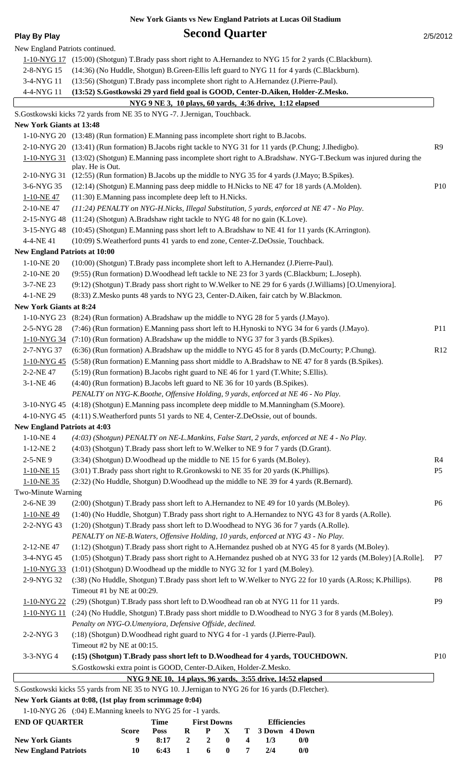**New York Giants vs New England Patriots at Lucas Oil Stadium**

**Play By Play Second Quarter** 2/5/2012

| New England Patriots continued.      |                                                                                                                                                                                |                |
|--------------------------------------|--------------------------------------------------------------------------------------------------------------------------------------------------------------------------------|----------------|
|                                      | 1-10-NYG 17 (15:00) (Shotgun) T.Brady pass short right to A.Hernandez to NYG 15 for 2 yards (C.Blackburn).                                                                     |                |
| 2-8-NYG 15                           | (14:36) (No Huddle, Shotgun) B.Green-Ellis left guard to NYG 11 for 4 yards (C.Blackburn).                                                                                     |                |
| 3-4-NYG 11                           | (13:56) (Shotgun) T.Brady pass incomplete short right to A.Hernandez (J.Pierre-Paul).                                                                                          |                |
| 4-4-NYG 11                           | (13:52) S.Gostkowski 29 yard field goal is GOOD, Center-D.Aiken, Holder-Z.Mesko.                                                                                               |                |
|                                      | NYG 9 NE 3, 10 plays, 60 yards, 4:36 drive, 1:12 elapsed                                                                                                                       |                |
|                                      | S.Gostkowski kicks 72 yards from NE 35 to NYG -7. J.Jernigan, Touchback.                                                                                                       |                |
| <b>New York Giants at 13:48</b>      |                                                                                                                                                                                |                |
|                                      | 1-10-NYG 20 (13:48) (Run formation) E.Manning pass incomplete short right to B.Jacobs.                                                                                         |                |
|                                      | 2-10-NYG 20 (13:41) (Run formation) B.Jacobs right tackle to NYG 31 for 11 yards (P.Chung; J.Ihedigbo).                                                                        | R9             |
|                                      | 1-10-NYG 31 (13:02) (Shotgun) E.Manning pass incomplete short right to A.Bradshaw. NYG-T.Beckum was injured during the                                                         |                |
| 2-10-NYG 31                          | play. He is Out.<br>(12:55) (Run formation) B.Jacobs up the middle to NYG 35 for 4 yards (J.Mayo; B.Spikes).                                                                   |                |
| 3-6-NYG 35                           | (12:14) (Shotgun) E.Manning pass deep middle to H.Nicks to NE 47 for 18 yards (A.Molden).                                                                                      | P10            |
| $1-10-NE$ 47                         | (11:30) E.Manning pass incomplete deep left to H.Nicks.                                                                                                                        |                |
| 2-10-NE47                            | (11:24) PENALTY on NYG-H.Nicks, Illegal Substitution, 5 yards, enforced at NE 47 - No Play.                                                                                    |                |
| 2-15-NYG48                           | (11:24) (Shotgun) A.Bradshaw right tackle to NYG 48 for no gain (K.Love).                                                                                                      |                |
| 3-15-NYG 48                          | (10:45) (Shotgun) E.Manning pass short left to A.Bradshaw to NE 41 for 11 yards (K.Arrington).                                                                                 |                |
| 4-4-NE 41                            | (10:09) S. Weatherford punts 41 yards to end zone, Center-Z. DeOssie, Touchback.                                                                                               |                |
| <b>New England Patriots at 10:00</b> |                                                                                                                                                                                |                |
| 1-10-NE 20                           | (10:00) (Shotgun) T.Brady pass incomplete short left to A.Hernandez (J.Pierre-Paul).                                                                                           |                |
| 2-10-NE 20                           | (9:55) (Run formation) D. Woodhead left tackle to NE 23 for 3 yards (C. Blackburn; L. Joseph).                                                                                 |                |
| 3-7-NE 23                            | (9:12) (Shotgun) T.Brady pass short right to W.Welker to NE 29 for 6 yards (J.Williams) [O.Umenyiora].                                                                         |                |
| 4-1-NE 29                            | (8:33) Z.Mesko punts 48 yards to NYG 23, Center-D.Aiken, fair catch by W.Blackmon.                                                                                             |                |
| <b>New York Giants at 8:24</b>       |                                                                                                                                                                                |                |
| 1-10-NYG 23                          | (8:24) (Run formation) A.Bradshaw up the middle to NYG 28 for 5 yards (J.Mayo).                                                                                                |                |
| 2-5-NYG 28                           | (7:46) (Run formation) E.Manning pass short left to H.Hynoski to NYG 34 for 6 yards (J.Mayo).                                                                                  | P11            |
| $1 - 10 - NYG$ 34                    | (7:10) (Run formation) A.Bradshaw up the middle to NYG 37 for 3 yards (B.Spikes).                                                                                              |                |
| 2-7-NYG 37                           | (6:36) (Run formation) A.Bradshaw up the middle to NYG 45 for 8 yards (D.McCourty; P.Chung).                                                                                   | R12            |
| 1-10-NYG 45                          | (5:58) (Run formation) E.Manning pass short middle to A.Bradshaw to NE 47 for 8 yards (B.Spikes).                                                                              |                |
| 2-2-NE 47                            | (5:19) (Run formation) B.Jacobs right guard to NE 46 for 1 yard (T.White; S.Ellis).                                                                                            |                |
| 3-1-NE 46                            | (4:40) (Run formation) B.Jacobs left guard to NE 36 for 10 yards (B.Spikes).                                                                                                   |                |
|                                      | PENALTY on NYG-K.Boothe, Offensive Holding, 9 yards, enforced at NE 46 - No Play.                                                                                              |                |
|                                      | 3-10-NYG 45 (4:18) (Shotgun) E.Manning pass incomplete deep middle to M.Manningham (S.Moore).                                                                                  |                |
|                                      | 4-10-NYG 45 (4:11) S. Weatherford punts 51 yards to NE 4, Center-Z. DeOssie, out of bounds.                                                                                    |                |
| <b>New England Patriots at 4:03</b>  |                                                                                                                                                                                |                |
| $1-10-NE4$                           | (4:03) (Shotgun) PENALTY on NE-L.Mankins, False Start, 2 yards, enforced at NE 4 - No Play.                                                                                    |                |
| $1-12-NE$ 2                          | (4:03) (Shotgun) T.Brady pass short left to W.Welker to NE 9 for 7 yards (D.Grant).                                                                                            |                |
| $2 - 5 - NE9$                        | (3:34) (Shotgun) D. Woodhead up the middle to NE 15 for 6 yards (M. Boley).                                                                                                    | R <sub>4</sub> |
| 1-10-NE 15                           | (3:01) T.Brady pass short right to R.Gronkowski to NE 35 for 20 yards (K.Phillips).                                                                                            | P <sub>5</sub> |
| 1-10-NE 35                           | (2:32) (No Huddle, Shotgun) D. Woodhead up the middle to NE 39 for 4 yards (R. Bernard).                                                                                       |                |
| Two-Minute Warning                   |                                                                                                                                                                                |                |
| 2-6-NE 39                            | (2:00) (Shotgun) T.Brady pass short left to A.Hernandez to NE 49 for 10 yards (M.Boley).                                                                                       | P <sub>6</sub> |
| $1-10-NE$ 49<br>2-2-NYG 43           | (1:40) (No Huddle, Shotgun) T.Brady pass short right to A.Hernandez to NYG 43 for 8 yards (A.Rolle).                                                                           |                |
|                                      | (1:20) (Shotgun) T.Brady pass short left to D.Woodhead to NYG 36 for 7 yards (A.Rolle).<br>PENALTY on NE-B. Waters, Offensive Holding, 10 yards, enforced at NYG 43 - No Play. |                |
| 2-12-NE47                            | (1:12) (Shotgun) T.Brady pass short right to A.Hernandez pushed ob at NYG 45 for 8 yards (M.Boley).                                                                            |                |
| 3-4-NYG 45                           | (1:05) (Shotgun) T.Brady pass short right to A.Hernandez pushed ob at NYG 33 for 12 yards (M.Boley) [A.Rolle].                                                                 | P7             |
| 1-10-NYG 33                          | (1:01) (Shotgun) D. Woodhead up the middle to NYG 32 for 1 yard (M. Boley).                                                                                                    |                |
| 2-9-NYG 32                           | (:38) (No Huddle, Shotgun) T.Brady pass short left to W.Welker to NYG 22 for 10 yards (A.Ross; K.Phillips).                                                                    | P8             |
|                                      | Timeout #1 by NE at 00:29.                                                                                                                                                     |                |
|                                      | 1-10-NYG 22 (:29) (Shotgun) T.Brady pass short left to D.Woodhead ran ob at NYG 11 for 11 yards.                                                                               | P <sub>9</sub> |
| 1-10-NYG 11                          | (:24) (No Huddle, Shotgun) T.Brady pass short middle to D.Woodhead to NYG 3 for 8 yards (M.Boley).                                                                             |                |
|                                      | Penalty on NYG-O.Umenyiora, Defensive Offside, declined.                                                                                                                       |                |
| 2-2-NYG 3                            | (:18) (Shotgun) D. Woodhead right guard to NYG 4 for -1 yards (J. Pierre-Paul).                                                                                                |                |
|                                      | Timeout #2 by NE at 00:15.                                                                                                                                                     |                |
| 3-3-NYG 4                            | (:15) (Shotgun) T.Brady pass short left to D.Woodhead for 4 yards, TOUCHDOWN.                                                                                                  | P10            |
|                                      | S.Gostkowski extra point is GOOD, Center-D.Aiken, Holder-Z.Mesko.                                                                                                              |                |
|                                      | NYG 9 NE 10, 14 plays, 96 yards, 3:55 drive, 14:52 elapsed                                                                                                                     |                |
|                                      | S.Gostkowski kicks 55 yards from NE 35 to NYG 10. J.Jernigan to NYG 26 for 16 yards (D.Fletcher).                                                                              |                |
|                                      | New York Giants at 0:08, (1st play from scrimmage 0:04)                                                                                                                        |                |
|                                      | 1-10-NYG 26 (:04) E.Manning kneels to NYG 25 for -1 yards.                                                                                                                     |                |
|                                      | <b>END OF OUARTER</b> Time First Downs<br>Efficiencies                                                                                                                         |                |

| <b>END OF OUARTER</b>       |              | Time | <b>First Downs</b> |             |                |  | <b>Efficiencies</b> |               |  |
|-----------------------------|--------------|------|--------------------|-------------|----------------|--|---------------------|---------------|--|
|                             | <b>Score</b> | Poss | R                  |             |                |  | P X T 3 Down 4 Down |               |  |
| <b>New York Giants</b>      |              | 8:17 |                    | $2 \quad 2$ | $\mathbf{0}$ 4 |  | 1/3                 | 0/0           |  |
| <b>New England Patriots</b> | 10           | 6:43 |                    | 6           | $\bullet$      |  | 2/4                 | $\frac{0}{0}$ |  |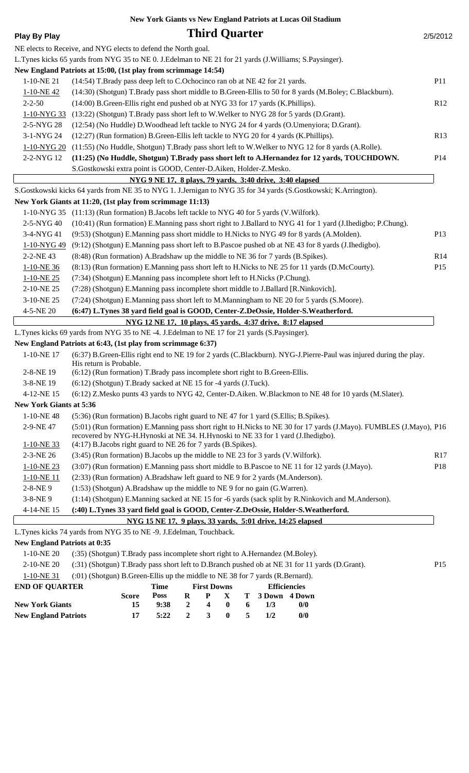|                                     | New York Giants vs New England Patriots at Lucas Oil Stadium                                                                                                                                           |                 |
|-------------------------------------|--------------------------------------------------------------------------------------------------------------------------------------------------------------------------------------------------------|-----------------|
| <b>Play By Play</b>                 | <b>Third Quarter</b>                                                                                                                                                                                   | 2/5/2012        |
|                                     | NE elects to Receive, and NYG elects to defend the North goal.                                                                                                                                         |                 |
|                                     | L.Tynes kicks 65 yards from NYG 35 to NE 0. J.Edelman to NE 21 for 21 yards (J.Williams; S.Paysinger).                                                                                                 |                 |
|                                     | New England Patriots at 15:00, (1st play from scrimmage 14:54)                                                                                                                                         |                 |
| 1-10-NE 21                          | (14:54) T.Brady pass deep left to C.Ochocinco ran ob at NE 42 for 21 yards.                                                                                                                            | <b>P11</b>      |
| $1 - 10 - NE$ 42                    | (14:30) (Shotgun) T.Brady pass short middle to B.Green-Ellis to 50 for 8 yards (M.Boley; C.Blackburn).                                                                                                 |                 |
| $2 - 2 - 50$                        | (14:00) B.Green-Ellis right end pushed ob at NYG 33 for 17 yards (K.Phillips).                                                                                                                         | R12             |
| 1-10-NYG 33                         | (13:22) (Shotgun) T.Brady pass short left to W.Welker to NYG 28 for 5 yards (D.Grant).                                                                                                                 |                 |
| 2-5-NYG 28                          | (12:54) (No Huddle) D. Woodhead left tackle to NYG 24 for 4 yards (O. Umenyiora; D. Grant).                                                                                                            |                 |
| 3-1-NYG 24                          | (12:27) (Run formation) B.Green-Ellis left tackle to NYG 20 for 4 yards (K.Phillips).                                                                                                                  | R13             |
| 1-10-NYG 20                         | (11:55) (No Huddle, Shotgun) T.Brady pass short left to W.Welker to NYG 12 for 8 yards (A.Rolle).                                                                                                      |                 |
| 2-2-NYG 12                          | (11:25) (No Huddle, Shotgun) T.Brady pass short left to A.Hernandez for 12 yards, TOUCHDOWN.                                                                                                           | P <sub>14</sub> |
|                                     | S.Gostkowski extra point is GOOD, Center-D.Aiken, Holder-Z.Mesko.                                                                                                                                      |                 |
|                                     | NYG 9 NE 17, 8 plays, 79 yards, 3:40 drive, 3:40 elapsed                                                                                                                                               |                 |
|                                     | S.Gostkowski kicks 64 yards from NE 35 to NYG 1. J.Jernigan to NYG 35 for 34 yards (S.Gostkowski; K.Arrington).                                                                                        |                 |
|                                     | New York Giants at 11:20, (1st play from scrimmage 11:13)                                                                                                                                              |                 |
|                                     | 1-10-NYG 35 (11:13) (Run formation) B. Jacobs left tackle to NYG 40 for 5 yards (V. Wilfork).                                                                                                          |                 |
| 2-5-NYG 40                          | (10:41) (Run formation) E.Manning pass short right to J.Ballard to NYG 41 for 1 yard (J.Ihedigbo; P.Chung).                                                                                            |                 |
| 3-4-NYG 41                          | (9:53) (Shotgun) E.Manning pass short middle to H.Nicks to NYG 49 for 8 yards (A.Molden).                                                                                                              | P13             |
| 1-10-NYG49                          | (9:12) (Shotgun) E.Manning pass short left to B.Pascoe pushed ob at NE 43 for 8 yards (J.Ihedigbo).                                                                                                    |                 |
| 2-2-NE 43                           | (8:48) (Run formation) A.Bradshaw up the middle to NE 36 for 7 yards (B.Spikes).                                                                                                                       | R14             |
| 1-10-NE 36                          | (8:13) (Run formation) E.Manning pass short left to H.Nicks to NE 25 for 11 yards (D.McCourty).                                                                                                        | P15             |
| 1-10-NE 25                          | (7:34) (Shotgun) E.Manning pass incomplete short left to H.Nicks (P.Chung).                                                                                                                            |                 |
| 2-10-NE 25                          | (7:28) (Shotgun) E.Manning pass incomplete short middle to J.Ballard [R.Ninkovich].                                                                                                                    |                 |
| 3-10-NE 25                          | (7:24) (Shotgun) E.Manning pass short left to M.Manningham to NE 20 for 5 yards (S.Moore).                                                                                                             |                 |
| 4-5-NE 20                           | (6:47) L.Tynes 38 yard field goal is GOOD, Center-Z.DeOssie, Holder-S.Weatherford.                                                                                                                     |                 |
|                                     | NYG 12 NE 17, 10 plays, 45 yards, 4:37 drive, 8:17 elapsed                                                                                                                                             |                 |
|                                     | L.Tynes kicks 69 yards from NYG 35 to NE -4. J.Edelman to NE 17 for 21 yards (S.Paysinger).                                                                                                            |                 |
|                                     | New England Patriots at 6:43, (1st play from scrimmage 6:37)                                                                                                                                           |                 |
| 1-10-NE 17                          | (6:37) B.Green-Ellis right end to NE 19 for 2 yards (C.Blackburn). NYG-J.Pierre-Paul was injured during the play.<br>His return is Probable.                                                           |                 |
| 2-8-NE 19                           | (6:12) (Run formation) T.Brady pass incomplete short right to B.Green-Ellis.                                                                                                                           |                 |
| 3-8-NE 19                           | (6:12) (Shotgun) T.Brady sacked at NE 15 for -4 yards (J.Tuck).                                                                                                                                        |                 |
| 4-12-NE 15                          | (6:12) Z.Mesko punts 43 yards to NYG 42, Center-D.Aiken. W.Blackmon to NE 48 for 10 yards (M.Slater).                                                                                                  |                 |
| <b>New York Giants at 5:36</b>      |                                                                                                                                                                                                        |                 |
| 1-10-NE48                           | (5:36) (Run formation) B.Jacobs right guard to NE 47 for 1 yard (S.Ellis; B.Spikes).                                                                                                                   |                 |
| 2-9-NE 47                           | (5:01) (Run formation) E.Manning pass short right to H.Nicks to NE 30 for 17 yards (J.Mayo). FUMBLES (J.Mayo), P16<br>recovered by NYG-H.Hynoski at NE 34. H.Hynoski to NE 33 for 1 yard (J.Ihedigbo). |                 |
| $1-10-NE$ 33                        | (4:17) B.Jacobs right guard to NE 26 for 7 yards (B.Spikes).                                                                                                                                           |                 |
| 2-3-NE 26                           | (3:45) (Run formation) B. Jacobs up the middle to NE 23 for 3 yards (V. Wilfork).                                                                                                                      | R17             |
| $1-10-NE$ 23                        | (3:07) (Run formation) E.Manning pass short middle to B.Pascoe to NE 11 for 12 yards (J.Mayo).                                                                                                         | P18             |
| 1-10-NE11                           | (2:33) (Run formation) A.Bradshaw left guard to NE 9 for 2 yards (M.Anderson).                                                                                                                         |                 |
| 2-8-NE9                             | (1:53) (Shotgun) A.Bradshaw up the middle to NE 9 for no gain (G.Warren).                                                                                                                              |                 |
| 3-8-NE9                             | (1:14) (Shotgun) E.Manning sacked at NE 15 for -6 yards (sack split by R.Ninkovich and M.Anderson).                                                                                                    |                 |
| 4-14-NE 15                          | (:40) L.Tynes 33 yard field goal is GOOD, Center-Z.DeOssie, Holder-S.Weatherford.                                                                                                                      |                 |
|                                     | NYG 15 NE 17, 9 plays, 33 yards, 5:01 drive, 14:25 elapsed                                                                                                                                             |                 |
|                                     | L.Tynes kicks 74 yards from NYG 35 to NE -9. J.Edelman, Touchback.                                                                                                                                     |                 |
| <b>New England Patriots at 0:35</b> |                                                                                                                                                                                                        |                 |
| $1-10-NE$ 20                        | (:35) (Shotgun) T.Brady pass incomplete short right to A.Hernandez (M.Boley).                                                                                                                          |                 |
| 2-10-NE 20                          | (:31) (Shotgun) T.Brady pass short left to D.Branch pushed ob at NE 31 for 11 yards (D.Grant).                                                                                                         | P15             |
| $1-10-NE$ 31                        | $(0.01)$ (Shotgun) B Green-Ellis up the middle to NE 38 for 7 vards (R Bernard).                                                                                                                       |                 |

| $1 - 10 - 11$ ( $31 - 10$ ) ( $3100$ gun) D.Orgen-Ems up the middle to tyle 30 for 7 yards (K.Definard). |              |                    |       |                     |                |                       |               |  |
|----------------------------------------------------------------------------------------------------------|--------------|--------------------|-------|---------------------|----------------|-----------------------|---------------|--|
| <b>END OF OUARTER</b>                                                                                    | Time         | <b>First Downs</b> |       | <b>Efficiencies</b> |                |                       |               |  |
|                                                                                                          | <b>Score</b> | <b>Poss</b>        |       |                     |                | R P X T 3 Down 4 Down |               |  |
| <b>New York Giants</b>                                                                                   | 15           | 9:38               | 2 4 0 |                     | 6              | 1/3                   | $\frac{0}{0}$ |  |
| <b>New England Patriots</b>                                                                              | 17           | 5:22               | 2 3   | $\bullet$           | $\overline{5}$ | 1/2                   | 0/0           |  |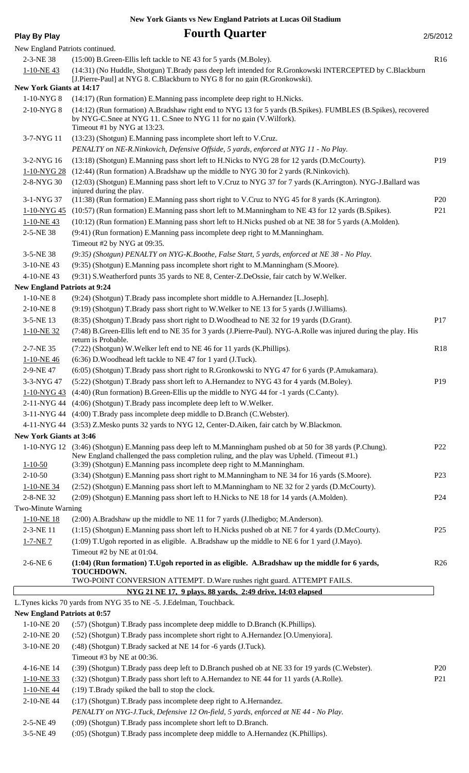#### **New York Giants vs New England Patriots at Lucas Oil Stadium**

|  | Play By Play |  |
|--|--------------|--|
|  |              |  |

**Fourth Quarter** 2/5/2012

| New England Patriots continued.     |                                                                                                                                                                                                                                                                                      |                 |
|-------------------------------------|--------------------------------------------------------------------------------------------------------------------------------------------------------------------------------------------------------------------------------------------------------------------------------------|-----------------|
| 2-3-NE 38                           | (15:00) B.Green-Ellis left tackle to NE 43 for 5 yards (M.Boley).                                                                                                                                                                                                                    | R16             |
| $1-10-NE$ 43                        | (14:31) (No Huddle, Shotgun) T.Brady pass deep left intended for R.Gronkowski INTERCEPTED by C.Blackburn<br>[J.Pierre-Paul] at NYG 8. C.Blackburn to NYG 8 for no gain (R.Gronkowski).                                                                                               |                 |
| <b>New York Giants at 14:17</b>     |                                                                                                                                                                                                                                                                                      |                 |
| 1-10-NYG 8                          | (14:17) (Run formation) E.Manning pass incomplete deep right to H.Nicks.                                                                                                                                                                                                             |                 |
| 2-10-NYG 8                          | (14:12) (Run formation) A.Bradshaw right end to NYG 13 for 5 yards (B.Spikes). FUMBLES (B.Spikes), recovered<br>by NYG-C. Snee at NYG 11. C. Snee to NYG 11 for no gain (V. Wilfork).<br>Timeout #1 by NYG at 13:23.                                                                 |                 |
| 3-7-NYG 11                          | (13:23) (Shotgun) E.Manning pass incomplete short left to V.Cruz.                                                                                                                                                                                                                    |                 |
|                                     | PENALTY on NE-R.Ninkovich, Defensive Offside, 5 yards, enforced at NYG 11 - No Play.                                                                                                                                                                                                 |                 |
| 3-2-NYG 16                          | (13:18) (Shotgun) E.Manning pass short left to H.Nicks to NYG 28 for 12 yards (D.McCourty).                                                                                                                                                                                          | P <sub>19</sub> |
| 1-10-NYG 28                         | (12:44) (Run formation) A.Bradshaw up the middle to NYG 30 for 2 yards (R.Ninkovich).                                                                                                                                                                                                |                 |
| 2-8-NYG 30                          | (12:03) (Shotgun) E.Manning pass short left to V.Cruz to NYG 37 for 7 yards (K.Arrington). NYG-J.Ballard was                                                                                                                                                                         |                 |
| 3-1-NYG 37                          | injured during the play.<br>(11:38) (Run formation) E.Manning pass short right to V.Cruz to NYG 45 for 8 yards (K.Arrington).                                                                                                                                                        | <b>P20</b>      |
| 1-10-NYG45                          | (10:57) (Run formation) E.Manning pass short left to M.Manningham to NE 43 for 12 yards (B.Spikes).                                                                                                                                                                                  | P <sub>21</sub> |
| $1-10-NE$ 43                        | (10:12) (Run formation) E.Manning pass short left to H.Nicks pushed ob at NE 38 for 5 yards (A.Molden).                                                                                                                                                                              |                 |
| 2-5-NE 38                           | (9:41) (Run formation) E.Manning pass incomplete deep right to M.Manningham.<br>Timeout #2 by NYG at 09:35.                                                                                                                                                                          |                 |
| 3-5-NE 38                           | (9:35) (Shotgun) PENALTY on NYG-K.Boothe, False Start, 5 yards, enforced at NE 38 - No Play.                                                                                                                                                                                         |                 |
| 3-10-NE43                           | (9:35) (Shotgun) E.Manning pass incomplete short right to M.Manningham (S.Moore).                                                                                                                                                                                                    |                 |
| 4-10-NE43                           | (9:31) S. Weatherford punts 35 yards to NE 8, Center-Z. DeOssie, fair catch by W. Welker.                                                                                                                                                                                            |                 |
| <b>New England Patriots at 9:24</b> |                                                                                                                                                                                                                                                                                      |                 |
| $1-10-NE$ 8                         | (9:24) (Shotgun) T.Brady pass incomplete short middle to A.Hernandez [L.Joseph].                                                                                                                                                                                                     |                 |
| 2-10-NE8                            | (9:19) (Shotgun) T.Brady pass short right to W.Welker to NE 13 for 5 yards (J.Williams).                                                                                                                                                                                             |                 |
| 3-5-NE 13                           | (8:35) (Shotgun) T.Brady pass short right to D.Woodhead to NE 32 for 19 yards (D.Grant).                                                                                                                                                                                             | P17             |
| $1-10-NE$ 32                        | (7:48) B.Green-Ellis left end to NE 35 for 3 yards (J.Pierre-Paul). NYG-A.Rolle was injured during the play. His                                                                                                                                                                     |                 |
| 2-7-NE 35                           | return is Probable.<br>(7:22) (Shotgun) W. Welker left end to NE 46 for 11 yards (K. Phillips).                                                                                                                                                                                      | R18             |
| $1-10-NE$ 46                        | (6:36) D. Woodhead left tackle to NE 47 for 1 yard (J. Tuck).                                                                                                                                                                                                                        |                 |
| 2-9-NE 47                           | (6:05) (Shotgun) T.Brady pass short right to R.Gronkowski to NYG 47 for 6 yards (P.Amukamara).                                                                                                                                                                                       |                 |
| 3-3-NYG 47                          | (5:22) (Shotgun) T.Brady pass short left to A.Hernandez to NYG 43 for 4 yards (M.Boley).                                                                                                                                                                                             | P <sub>19</sub> |
|                                     | 1-10-NYG 43 (4:40) (Run formation) B. Green-Ellis up the middle to NYG 44 for -1 yards (C. Canty).                                                                                                                                                                                   |                 |
|                                     | 2-11-NYG 44 (4:06) (Shotgun) T.Brady pass incomplete deep left to W.Welker.                                                                                                                                                                                                          |                 |
|                                     | 3-11-NYG 44 (4:00) T.Brady pass incomplete deep middle to D.Branch (C.Webster).                                                                                                                                                                                                      |                 |
|                                     | 4-11-NYG 44 (3:53) Z.Mesko punts 32 yards to NYG 12, Center-D.Aiken, fair catch by W.Blackmon.                                                                                                                                                                                       |                 |
| <b>New York Giants at 3:46</b>      |                                                                                                                                                                                                                                                                                      |                 |
| $1 - 10 - 50$                       | 1-10-NYG 12 (3:46) (Shotgun) E.Manning pass deep left to M.Manningham pushed ob at 50 for 38 yards (P.Chung).<br>New England challenged the pass completion ruling, and the play was Upheld. (Timeout #1.)<br>(3:39) (Shotgun) E.Manning pass incomplete deep right to M.Manningham. | P <sub>22</sub> |
| $2 - 10 - 50$                       | (3:34) (Shotgun) E.Manning pass short right to M.Manningham to NE 34 for 16 yards (S.Moore).                                                                                                                                                                                         | P <sub>23</sub> |
| $1-10-NE$ 34                        | (2:52) (Shotgun) E.Manning pass short left to M.Manningham to NE 32 for 2 yards (D.McCourty).                                                                                                                                                                                        |                 |
| 2-8-NE 32                           | (2:09) (Shotgun) E.Manning pass short left to H.Nicks to NE 18 for 14 yards (A.Molden).                                                                                                                                                                                              | P <sub>24</sub> |
| Two-Minute Warning                  |                                                                                                                                                                                                                                                                                      |                 |
| 1-10-NE18                           | (2:00) A.Bradshaw up the middle to NE 11 for 7 yards (J.Ihedigbo; M.Anderson).                                                                                                                                                                                                       |                 |
| 2-3-NE 11                           | (1:15) (Shotgun) E.Manning pass short left to H.Nicks pushed ob at NE 7 for 4 yards (D.McCourty).                                                                                                                                                                                    | P <sub>25</sub> |
| $1 - 7 - NE$ $7$                    | (1:09) T.Ugoh reported in as eligible. A.Bradshaw up the middle to NE 6 for 1 yard (J.Mayo).                                                                                                                                                                                         |                 |
|                                     | Timeout #2 by NE at 01:04.                                                                                                                                                                                                                                                           |                 |
| 2-6-NE 6                            | (1:04) (Run formation) T.Ugoh reported in as eligible. A.Bradshaw up the middle for 6 yards,<br>TOUCHDOWN.<br>TWO-POINT CONVERSION ATTEMPT. D. Ware rushes right guard. ATTEMPT FAILS.                                                                                               | R26             |
|                                     | NYG 21 NE 17, 9 plays, 88 yards, 2:49 drive, 14:03 elapsed                                                                                                                                                                                                                           |                 |
|                                     | L.Tynes kicks 70 yards from NYG 35 to NE -5. J.Edelman, Touchback.                                                                                                                                                                                                                   |                 |
| <b>New England Patriots at 0:57</b> |                                                                                                                                                                                                                                                                                      |                 |
| 1-10-NE 20                          | (:57) (Shotgun) T.Brady pass incomplete deep middle to D.Branch (K.Phillips).                                                                                                                                                                                                        |                 |
| 2-10-NE 20                          | (:52) (Shotgun) T.Brady pass incomplete short right to A.Hernandez [O.Umenyiora].                                                                                                                                                                                                    |                 |
| 3-10-NE 20                          | (:48) (Shotgun) T.Brady sacked at NE 14 for -6 yards (J.Tuck).<br>Timeout #3 by NE at 00:36.                                                                                                                                                                                         |                 |
| 4-16-NE 14                          | (:39) (Shotgun) T.Brady pass deep left to D.Branch pushed ob at NE 33 for 19 yards (C.Webster).                                                                                                                                                                                      | <b>P20</b>      |
| $1-10-NE$ 33                        | (:32) (Shotgun) T.Brady pass short left to A.Hernandez to NE 44 for 11 yards (A.Rolle).                                                                                                                                                                                              | P <sub>21</sub> |
| $1-10-NE$ 44                        | (:19) T.Brady spiked the ball to stop the clock.                                                                                                                                                                                                                                     |                 |
| 2-10-NE44                           | (:17) (Shotgun) T.Brady pass incomplete deep right to A.Hernandez.                                                                                                                                                                                                                   |                 |
|                                     | PENALTY on NYG-J.Tuck, Defensive 12 On-field, 5 yards, enforced at NE 44 - No Play.                                                                                                                                                                                                  |                 |
| 2-5-NE 49                           | (:09) (Shotgun) T.Brady pass incomplete short left to D.Branch.                                                                                                                                                                                                                      |                 |
| 3-5-NE 49                           | (:05) (Shotgun) T.Brady pass incomplete deep middle to A.Hernandez (K.Phillips).                                                                                                                                                                                                     |                 |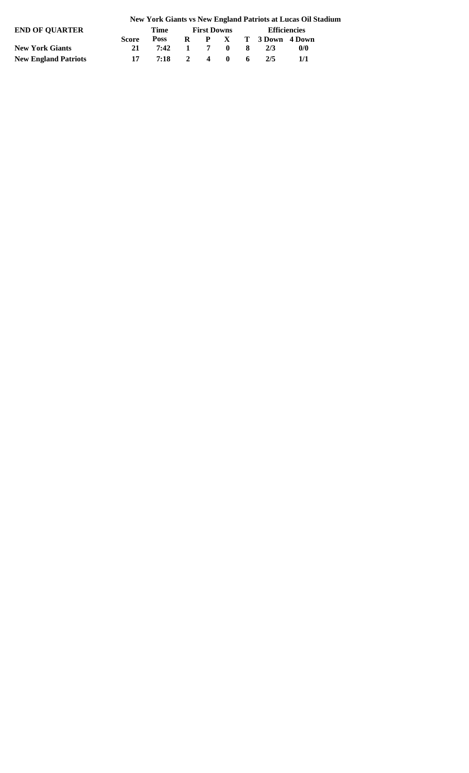#### **New York Giants vs New England Patriots at Lucas Oil Stadium**

| END OF OUARTER              |              | Time         |  | <b>First Downs</b> |  | <b>Efficiencies</b> |     |  |  |  |
|-----------------------------|--------------|--------------|--|--------------------|--|---------------------|-----|--|--|--|
|                             | <b>Score</b> | Poss         |  |                    |  | R P X T 3Down 4Down |     |  |  |  |
| <b>New York Giants</b>      | 21           | 7:42 1 7 0 8 |  |                    |  | 2/3                 | 0/0 |  |  |  |
| <b>New England Patriots</b> | 17           | 7:18 2 4 0 6 |  |                    |  | 2/5                 | 1/1 |  |  |  |